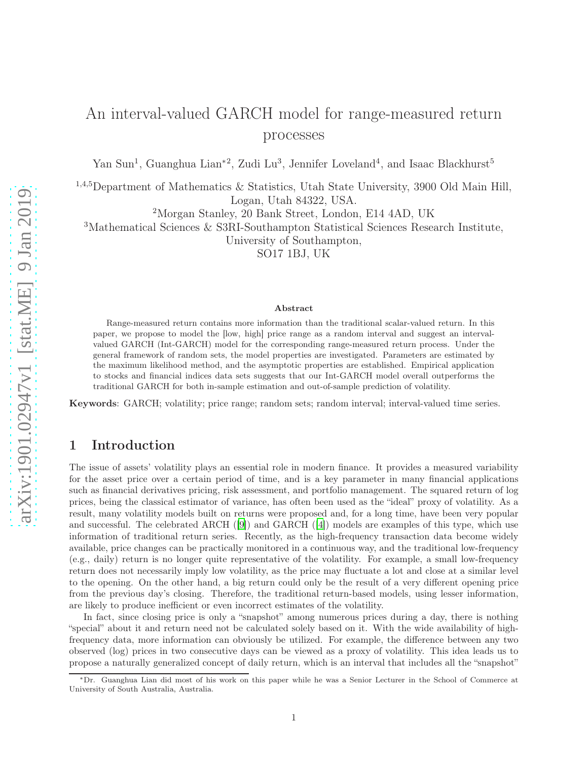# An interval-valued GARCH model for range-measured return processes

Yan Sun<sup>1</sup>, Guanghua Lian<sup>\*2</sup>, Zudi Lu<sup>3</sup>, Jennifer Loveland<sup>4</sup>, and Isaac Blackhurst<sup>5</sup>

<sup>1,4,5</sup>Department of Mathematics & Statistics, Utah State University, 3900 Old Main Hill, Logan, Utah 84322, USA.

<sup>2</sup>Morgan Stanley, 20 Bank Street, London, E14 4AD, UK

<sup>3</sup>Mathematical Sciences & S3RI-Southampton Statistical Sciences Research Institute,

University of Southampton,

SO17 1BJ, UK

#### Abstract

Range-measured return contains more information than the traditional scalar-valued return. In this paper, we propose to model the [low, high] price range as a random interval and suggest an intervalvalued GARCH (Int-GARCH) model for the corresponding range-measured return process. Under the general framework of random sets, the model properties are investigated. Parameters are estimated by the maximum likelihood method, and the asymptotic properties are established. Empirical application to stocks and financial indices data sets suggests that our Int-GARCH model overall outperforms the traditional GARCH for both in-sample estimation and out-of-sample prediction of volatility.

Keywords: GARCH; volatility; price range; random sets; random interval; interval-valued time series.

# 1 Introduction

The issue of assets' volatility plays an essential role in modern finance. It provides a measured variability for the asset price over a certain period of time, and is a key parameter in many financial applications such as financial derivatives pricing, risk assessment, and portfolio management. The squared return of log prices, being the classical estimator of variance, has often been used as the "ideal" proxy of volatility. As a result, many volatility models built on returns were proposed and, for a long time, have been very popular and successful. The celebrated ARCH ([\[9\]](#page-18-0)) and GARCH ([\[4\]](#page-18-1)) models are examples of this type, which use information of traditional return series. Recently, as the high-frequency transaction data become widely available, price changes can be practically monitored in a continuous way, and the traditional low-frequency (e.g., daily) return is no longer quite representative of the volatility. For example, a small low-frequency return does not necessarily imply low volatility, as the price may fluctuate a lot and close at a similar level to the opening. On the other hand, a big return could only be the result of a very different opening price from the previous day's closing. Therefore, the traditional return-based models, using lesser information, are likely to produce inefficient or even incorrect estimates of the volatility.

In fact, since closing price is only a "snapshot" among numerous prices during a day, there is nothing "special" about it and return need not be calculated solely based on it. With the wide availability of highfrequency data, more information can obviously be utilized. For example, the difference between any two observed (log) prices in two consecutive days can be viewed as a proxy of volatility. This idea leads us to propose a naturally generalized concept of daily return, which is an interval that includes all the "snapshot"

<sup>∗</sup>Dr. Guanghua Lian did most of his work on this paper while he was a Senior Lecturer in the School of Commerce at University of South Australia, Australia.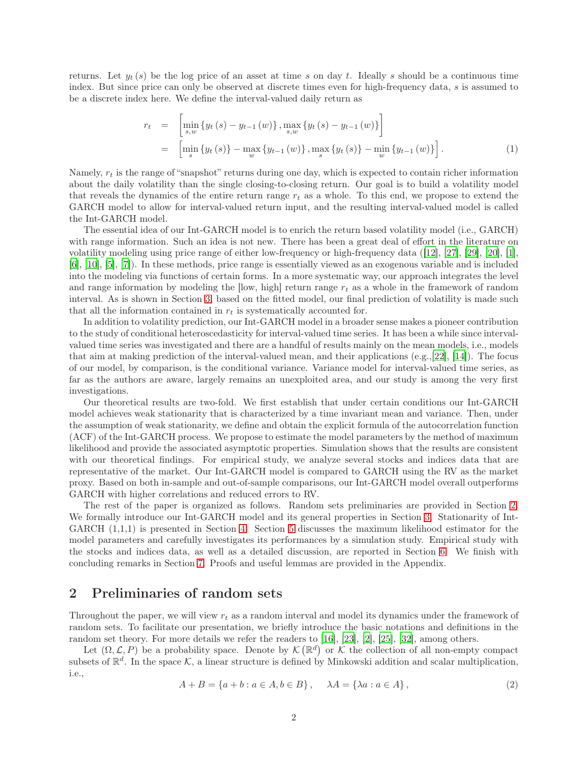returns. Let  $y_t(s)$  be the log price of an asset at time s on day t. Ideally s should be a continuous time index. But since price can only be observed at discrete times even for high-frequency data, s is assumed to be a discrete index here. We define the interval-valued daily return as

$$
r_{t} = \left[\min_{s,w} \{y_{t}(s) - y_{t-1}(w)\}, \max_{s,w} \{y_{t}(s) - y_{t-1}(w)\}\right]
$$
  
=  $\left[\min_{s} \{y_{t}(s)\}\right] - \max_{w} \{y_{t-1}(w)\}, \max_{s} \{y_{t}(s)\}\right] - \min_{w} \{y_{t-1}(w)\}\right].$  (1)

Namely,  $r_t$  is the range of "snapshot" returns during one day, which is expected to contain richer information about the daily volatility than the single closing-to-closing return. Our goal is to build a volatility model that reveals the dynamics of the entire return range  $r_t$  as a whole. To this end, we propose to extend the GARCH model to allow for interval-valued return input, and the resulting interval-valued model is called the Int-GARCH model.

The essential idea of our Int-GARCH model is to enrich the return based volatility model (i.e., GARCH) with range information. Such an idea is not new. There has been a great deal of effort in the literature on volatility modeling using price range of either low-frequency or high-frequency data ([\[12\]](#page-18-2), [\[27](#page-19-0)], [\[29\]](#page-19-1), [\[20](#page-18-3)], [\[1](#page-18-4)], [\[6\]](#page-18-5), [\[10\]](#page-18-6), [\[5](#page-18-7)], [\[7](#page-18-8)]). In these methods, price range is essentially viewed as an exogenous variable and is included into the modeling via functions of certain forms. In a more systematic way, our approach integrates the level and range information by modeling the  $[low, high]$  return range  $r_t$  as a whole in the framework of random interval. As is shown in Section [3,](#page-3-0) based on the fitted model, our final prediction of volatility is made such that all the information contained in  $r_t$  is systematically accounted for.

In addition to volatility prediction, our Int-GARCH model in a broader sense makes a pioneer contribution to the study of conditional heteroscedasticity for interval-valued time series. It has been a while since intervalvalued time series was investigated and there are a handful of results mainly on the mean models, i.e., models that aim at making prediction of the interval-valued mean, and their applications (e.g.,[\[22\]](#page-19-2), [\[14\]](#page-18-9)). The focus of our model, by comparison, is the conditional variance. Variance model for interval-valued time series, as far as the authors are aware, largely remains an unexploited area, and our study is among the very first investigations.

Our theoretical results are two-fold. We first establish that under certain conditions our Int-GARCH model achieves weak stationarity that is characterized by a time invariant mean and variance. Then, under the assumption of weak stationarity, we define and obtain the explicit formula of the autocorrelation function (ACF) of the Int-GARCH process. We propose to estimate the model parameters by the method of maximum likelihood and provide the associated asymptotic properties. Simulation shows that the results are consistent with our theoretical findings. For empirical study, we analyze several stocks and indices data that are representative of the market. Our Int-GARCH model is compared to GARCH using the RV as the market proxy. Based on both in-sample and out-of-sample comparisons, our Int-GARCH model overall outperforms GARCH with higher correlations and reduced errors to RV.

The rest of the paper is organized as follows. Random sets preliminaries are provided in Section [2.](#page-1-0) We formally introduce our Int-GARCH model and its general properties in Section [3.](#page-3-0) Stationarity of Int-GARCH  $(1,1,1)$  is presented in Section [4.](#page-5-0) Section [5](#page-7-0) discusses the maximum likelihood estimator for the model parameters and carefully investigates its performances by a simulation study. Empirical study with the stocks and indices data, as well as a detailed discussion, are reported in Section [6.](#page-12-0) We finish with concluding remarks in Section [7.](#page-15-0) Proofs and useful lemmas are provided in the Appendix.

## <span id="page-1-0"></span>2 Preliminaries of random sets

Throughout the paper, we will view  $r_t$  as a random interval and model its dynamics under the framework of random sets. To facilitate our presentation, we briefly introduce the basic notations and definitions in the random set theory. For more details we refer the readers to [\[16](#page-18-10)], [\[23\]](#page-19-3), [\[2](#page-18-11)], [\[25\]](#page-19-4), [\[32](#page-19-5)], among others.

Let  $(\Omega, \mathcal{L}, P)$  be a probability space. Denote by  $\mathcal{K}(\mathbb{R}^d)$  or  $\mathcal{K}$  the collection of all non-empty compact subsets of  $\mathbb{R}^d$ . In the space K, a linear structure is defined by Minkowski addition and scalar multiplication, i.e.,

$$
A + B = \{a + b : a \in A, b \in B\}, \quad \lambda A = \{\lambda a : a \in A\},
$$
 (2)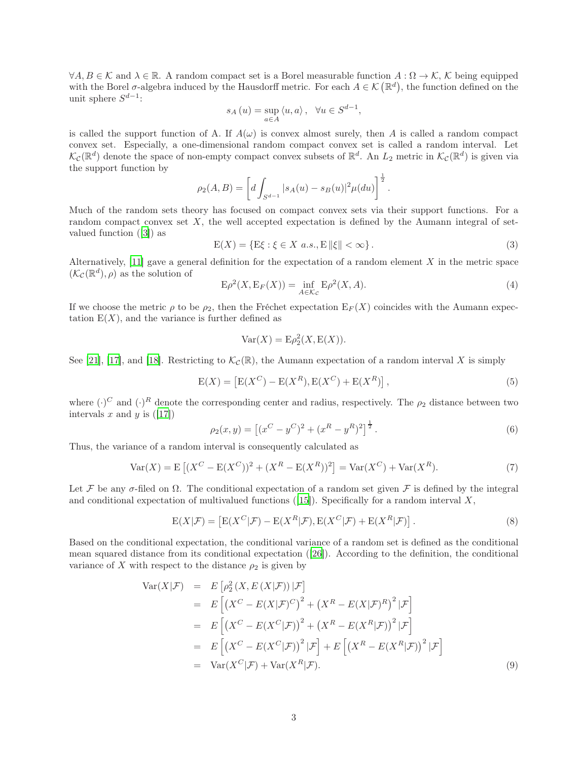$\forall A, B \in \mathcal{K}$  and  $\lambda \in \mathbb{R}$ . A random compact set is a Borel measurable function  $A: \Omega \to \mathcal{K}, \mathcal{K}$  being equipped with the Borel  $\sigma$ -algebra induced by the Hausdorff metric. For each  $A \in \mathcal{K}(\mathbb{R}^d)$ , the function defined on the unit sphere  $S^{d-1}$ :

$$
s_A(u) = \sup_{a \in A} \langle u, a \rangle, \quad \forall u \in S^{d-1},
$$

is called the support function of A. If  $A(\omega)$  is convex almost surely, then A is called a random compact convex set. Especially, a one-dimensional random compact convex set is called a random interval. Let  $\mathcal{K}_{\mathcal{C}}(\mathbb{R}^d)$  denote the space of non-empty compact convex subsets of  $\mathbb{R}^d$ . An  $L_2$  metric in  $\mathcal{K}_{\mathcal{C}}(\mathbb{R}^d)$  is given via the support function by

$$
\rho_2(A, B) = \left[ d \int_{S^{d-1}} |s_A(u) - s_B(u)|^2 \mu(du) \right]^{\frac{1}{2}}.
$$

Much of the random sets theory has focused on compact convex sets via their support functions. For a random compact convex set  $X$ , the well accepted expectation is defined by the Aumann integral of setvalued function ([\[3\]](#page-18-12)) as

$$
E(X) = \{E\xi : \xi \in X \ a.s., E \| \xi \| < \infty \}.
$$
 (3)

Alternatively,  $[11]$  gave a general definition for the expectation of a random element X in the metric space  $(\mathcal{K}_{\mathcal{C}}(\mathbb{R}^d),\rho)$  as the solution of

$$
E\rho^{2}(X, E_{F}(X)) = \inf_{A \in \mathcal{K}_{C}} E\rho^{2}(X, A). \tag{4}
$$

If we choose the metric  $\rho$  to be  $\rho_2$ , then the Fréchet expectation  $E_F(X)$  coincides with the Aumann expectation  $E(X)$ , and the variance is further defined as

$$
Var(X) = E\rho_2^2(X, E(X)).
$$

See [\[21\]](#page-19-6), [\[17\]](#page-18-14), and [\[18](#page-18-15)]. Restricting to  $\mathcal{K}_{\mathcal{C}}(\mathbb{R})$ , the Aumann expectation of a random interval X is simply

<span id="page-2-0"></span>
$$
E(X) = [E(X^{C}) - E(X^{R}), E(X^{C}) + E(X^{R})],
$$
\n(5)

where  $(\cdot)^C$  and  $(\cdot)^R$  denote the corresponding center and radius, respectively. The  $\rho_2$  distance between two intervals x and y is  $([17])$  $([17])$  $([17])$ 

<span id="page-2-3"></span>
$$
\rho_2(x, y) = \left[ (x^C - y^C)^2 + (x^R - y^R)^2 \right]^{\frac{1}{2}}.
$$
\n(6)

Thus, the variance of a random interval is consequently calculated as

<span id="page-2-1"></span>
$$
Var(X) = E[(X^{C} - E(X^{C}))^{2} + (X^{R} - E(X^{R}))^{2}] = Var(X^{C}) + Var(X^{R}).
$$
\n(7)

Let F be any  $\sigma$ -filed on  $\Omega$ . The conditional expectation of a random set given F is defined by the integral and conditional expectation of multivalued functions ([\[15\]](#page-18-16)). Specifically for a random interval  $X$ ,

$$
E(X|\mathcal{F}) = \left[ E(X^C|\mathcal{F}) - E(X^R|\mathcal{F}), E(X^C|\mathcal{F}) + E(X^R|\mathcal{F}) \right].
$$
\n(8)

Based on the conditional expectation, the conditional variance of a random set is defined as the conditional mean squared distance from its conditional expectation ([\[26](#page-19-7)]). According to the definition, the conditional variance of X with respect to the distance  $\rho_2$  is given by

<span id="page-2-2"></span>
$$
\begin{aligned}\n\text{Var}(X|\mathcal{F}) &= E\left[\rho_2^2\left(X, E\left(X|\mathcal{F}\right)\right)|\mathcal{F}\right] \\
&= E\left[\left(X^C - E(X|\mathcal{F})^C\right)^2 + \left(X^R - E(X|\mathcal{F})^R\right)^2|\mathcal{F}\right] \\
&= E\left[\left(X^C - E(X^C|\mathcal{F})\right)^2 + \left(X^R - E(X^R|\mathcal{F})\right)^2|\mathcal{F}\right] \\
&= E\left[\left(X^C - E(X^C|\mathcal{F})\right)^2|\mathcal{F}\right] + E\left[\left(X^R - E(X^R|\mathcal{F})\right)^2|\mathcal{F}\right] \\
&= \text{Var}(X^C|\mathcal{F}) + \text{Var}(X^R|\mathcal{F}).\n\end{aligned}\n\tag{9}
$$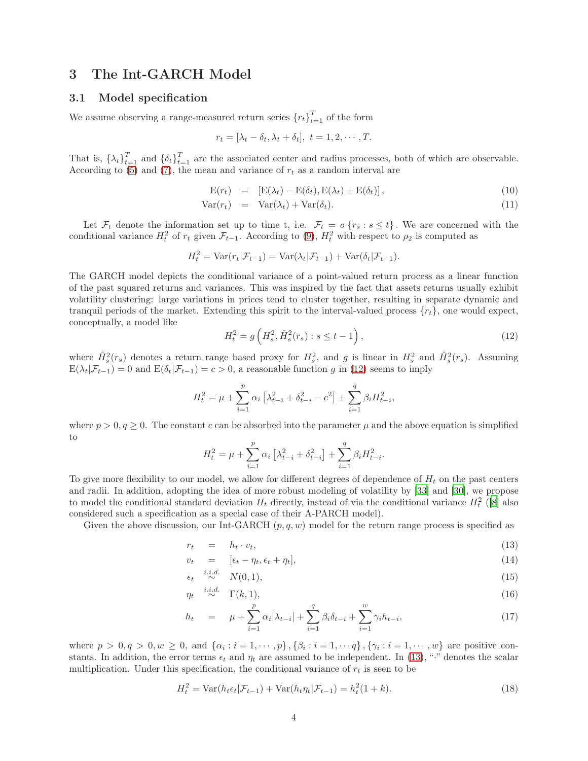### <span id="page-3-0"></span>3 The Int-GARCH Model

### 3.1 Model specification

We assume observing a range-measured return series  ${r_t}_{t=1}^T$  of the form

$$
r_t = [\lambda_t - \delta_t, \lambda_t + \delta_t], \ t = 1, 2, \cdots, T.
$$

That is,  $\{\lambda_t\}_{t=1}^T$  and  $\{\delta_t\}_{t=1}^T$  are the associated center and radius processes, both of which are observable. According to  $(5)$  and  $(7)$ , the mean and variance of  $r_t$  as a random interval are

<span id="page-3-4"></span>
$$
E(r_t) = [E(\lambda_t) - E(\delta_t), E(\lambda_t) + E(\delta_t)], \qquad (10)
$$

$$
Var(r_t) = Var(\lambda_t) + Var(\delta_t).
$$
\n(11)

Let  $\mathcal{F}_t$  denote the information set up to time t, i.e.  $\mathcal{F}_t = \sigma \{r_s : s \leq t\}$ . We are concerned with the conditional variance  $H_t^2$  of  $r_t$  given  $\mathcal{F}_{t-1}$ . According to [\(9\)](#page-2-2),  $H_t^2$  with respect to  $\rho_2$  is computed as

$$
H_t^2 = \text{Var}(r_t|\mathcal{F}_{t-1}) = \text{Var}(\lambda_t|\mathcal{F}_{t-1}) + \text{Var}(\delta_t|\mathcal{F}_{t-1}).
$$

The GARCH model depicts the conditional variance of a point-valued return process as a linear function of the past squared returns and variances. This was inspired by the fact that assets returns usually exhibit volatility clustering: large variations in prices tend to cluster together, resulting in separate dynamic and tranquil periods of the market. Extending this spirit to the interval-valued process  $\{r_t\}$ , one would expect, conceptually, a model like

<span id="page-3-1"></span>
$$
H_t^2 = g\left(H_s^2, \hat{H}_s^2(r_s) : s \le t - 1\right),\tag{12}
$$

where  $\hat{H}_s^2(r_s)$  denotes a return range based proxy for  $H_s^2$ , and g is linear in  $H_s^2$  and  $\hat{H}_s^2(r_s)$ . Assuming  $E(\lambda_t|\mathcal{F}_{t-1}) = 0$  and  $E(\delta_t|\mathcal{F}_{t-1}) = c > 0$ , a reasonable function g in [\(12\)](#page-3-1) seems to imply

$$
H_t^2 = \mu + \sum_{i=1}^p \alpha_i \left[ \lambda_{t-i}^2 + \delta_{t-i}^2 - c^2 \right] + \sum_{i=1}^q \beta_i H_{t-i}^2,
$$

where  $p > 0$ ,  $q \ge 0$ . The constant c can be absorbed into the parameter  $\mu$  and the above equation is simplified to

$$
H_t^2 = \mu + \sum_{i=1}^p \alpha_i \left[ \lambda_{t-i}^2 + \delta_{t-i}^2 \right] + \sum_{i=1}^q \beta_i H_{t-i}^2.
$$

To give more flexibility to our model, we allow for different degrees of dependence of  $H_t$  on the past centers and radii. In addition, adopting the idea of more robust modeling of volatility by [\[33](#page-19-8)] and [\[30\]](#page-19-9), we propose to model the conditional standard deviation  $H_t$  directly, instead of via the conditional variance  $H_t^2$  ([\[8](#page-18-17)] also considered such a specification as a special case of their A-PARCH model).

Given the above discussion, our Int-GARCH  $(p, q, w)$  model for the return range process is specified as

<span id="page-3-2"></span>
$$
r_t = h_t \cdot v_t,\tag{13}
$$

$$
v_t = [\epsilon_t - \eta_t, \epsilon_t + \eta_t], \tag{14}
$$

$$
\epsilon_t \stackrel{i.i.d.}{\sim} N(0,1),\tag{15}
$$

$$
\eta_t \stackrel{i.i.d.}{\sim} \Gamma(k,1),\tag{16}
$$

$$
h_t = \mu + \sum_{i=1}^p \alpha_i |\lambda_{t-i}| + \sum_{i=1}^q \beta_i \delta_{t-i} + \sum_{i=1}^w \gamma_i h_{t-i}, \qquad (17)
$$

where  $p > 0, q > 0, w \ge 0$ , and  $\{\alpha_i : i = 1, \dots, p\}, \{\beta_i : i = 1, \dots, q\}, \{\gamma_i : i = 1, \dots, w\}$  are positive constants. In addition, the error terms  $\epsilon_t$  and  $\eta_t$  are assumed to be independent. In [\(13\)](#page-3-2), "·" denotes the scalar multiplication. Under this specification, the conditional variance of  $r_t$  is seen to be

<span id="page-3-3"></span>
$$
H_t^2 = \text{Var}(h_t \epsilon_t | \mathcal{F}_{t-1}) + \text{Var}(h_t \eta_t | \mathcal{F}_{t-1}) = h_t^2 (1 + k). \tag{18}
$$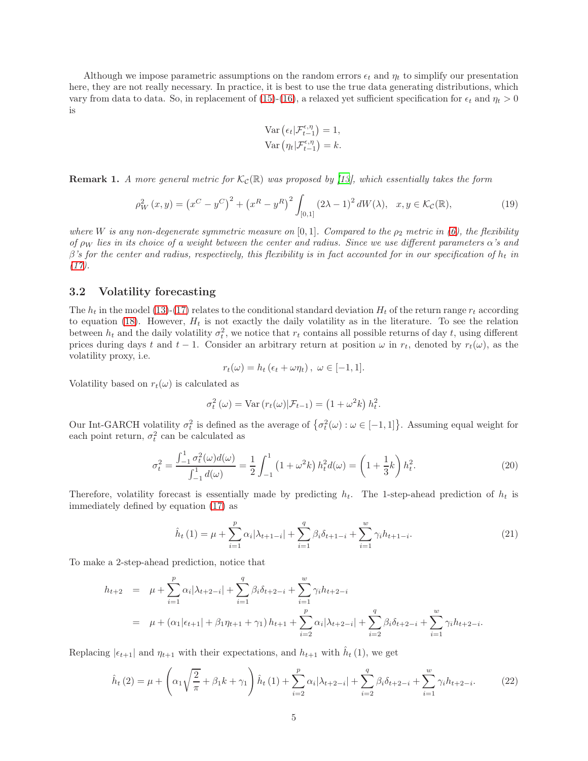Although we impose parametric assumptions on the random errors  $\epsilon_t$  and  $\eta_t$  to simplify our presentation here, they are not really necessary. In practice, it is best to use the true data generating distributions, which vary from data to data. So, in replacement of [\(15\)](#page-3-2)-[\(16\)](#page-3-2), a relaxed yet sufficient specification for  $\epsilon_t$  and  $\eta_t > 0$ is

Var 
$$
(\epsilon_t | \mathcal{F}_{t-1}^{\epsilon, \eta}) = 1
$$
,  
Var  $(\eta_t | \mathcal{F}_{t-1}^{\epsilon, \eta}) = k$ .

**Remark 1.** A more general metric for  $\mathcal{K}_c(\mathbb{R})$  was proposed by [\[13](#page-18-18)], which essentially takes the form

<span id="page-4-2"></span>
$$
\rho_W^2(x, y) = (x^C - y^C)^2 + (x^R - y^R)^2 \int_{[0,1]} (2\lambda - 1)^2 dW(\lambda), \quad x, y \in \mathcal{K}_{\mathcal{C}}(\mathbb{R}),
$$
\n(19)

where W is any non-degenerate symmetric measure on [0,1]. Compared to the  $\rho_2$  metric in [\(6\)](#page-2-3), the flexibility of  $\rho_W$  lies in its choice of a weight between the center and radius. Since we use different parameters  $\alpha$ 's and  $\beta$ 's for the center and radius, respectively, this flexibility is in fact accounted for in our specification of  $h_t$  in  $(17).$  $(17).$ 

### 3.2 Volatility forecasting

The  $h_t$  in the model [\(13\)](#page-3-2)-[\(17\)](#page-3-2) relates to the conditional standard deviation  $H_t$  of the return range  $r_t$  according to equation [\(18\)](#page-3-3). However,  $H_t$  is not exactly the daily volatility as in the literature. To see the relation between  $h_t$  and the daily volatility  $\sigma_t^2$ , we notice that  $r_t$  contains all possible returns of day t, using different prices during days t and t − 1. Consider an arbitrary return at position  $\omega$  in  $r_t$ , denoted by  $r_t(\omega)$ , as the volatility proxy, i.e.

$$
r_t(\omega) = h_t \left( \epsilon_t + \omega \eta_t \right), \ \omega \in [-1, 1].
$$

Volatility based on  $r_t(\omega)$  is calculated as

$$
\sigma_t^2(\omega) = \text{Var}\left(r_t(\omega)|\mathcal{F}_{t-1}\right) = \left(1 + \omega^2 k\right) h_t^2.
$$

Our Int-GARCH volatility  $\sigma_t^2$  is defined as the average of  $\{\sigma_t^2(\omega): \omega \in [-1,1]\}$ . Assuming equal weight for each point return,  $\sigma_t^2$  can be calculated as

<span id="page-4-0"></span>
$$
\sigma_t^2 = \frac{\int_{-1}^1 \sigma_t^2(\omega) d(\omega)}{\int_{-1}^1 d(\omega)} = \frac{1}{2} \int_{-1}^1 (1 + \omega^2 k) h_t^2 d(\omega) = \left(1 + \frac{1}{3} k\right) h_t^2.
$$
 (20)

Therefore, volatility forecast is essentially made by predicting  $h_t$ . The 1-step-ahead prediction of  $h_t$  is immediately defined by equation [\(17\)](#page-3-2) as

<span id="page-4-1"></span>
$$
\hat{h}_t(1) = \mu + \sum_{i=1}^p \alpha_i |\lambda_{t+1-i}| + \sum_{i=1}^q \beta_i \delta_{t+1-i} + \sum_{i=1}^w \gamma_i h_{t+1-i}.
$$
\n(21)

To make a 2-step-ahead prediction, notice that

$$
h_{t+2} = \mu + \sum_{i=1}^{p} \alpha_i |\lambda_{t+2-i}| + \sum_{i=1}^{q} \beta_i \delta_{t+2-i} + \sum_{i=1}^{w} \gamma_i h_{t+2-i}
$$
  
=  $\mu + (\alpha_1 |\epsilon_{t+1}| + \beta_1 \eta_{t+1} + \gamma_1) h_{t+1} + \sum_{i=2}^{p} \alpha_i |\lambda_{t+2-i}| + \sum_{i=2}^{q} \beta_i \delta_{t+2-i} + \sum_{i=1}^{w} \gamma_i h_{t+2-i}.$ 

Replacing  $|\epsilon_{t+1}|$  and  $\eta_{t+1}$  with their expectations, and  $h_{t+1}$  with  $\hat{h}_t$  (1), we get

$$
\hat{h}_t(2) = \mu + \left(\alpha_1 \sqrt{\frac{2}{\pi}} + \beta_1 k + \gamma_1\right) \hat{h}_t(1) + \sum_{i=2}^p \alpha_i |\lambda_{t+2-i}| + \sum_{i=2}^q \beta_i \delta_{t+2-i} + \sum_{i=1}^w \gamma_i h_{t+2-i}.
$$
 (22)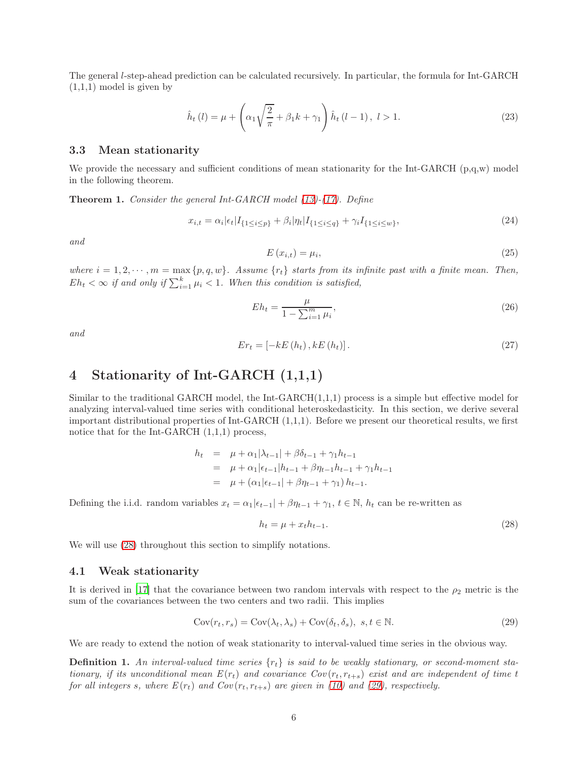The general l-step-ahead prediction can be calculated recursively. In particular, the formula for Int-GARCH  $(1,1,1)$  model is given by

$$
\hat{h}_t(l) = \mu + \left(\alpha_1 \sqrt{\frac{2}{\pi}} + \beta_1 k + \gamma_1\right) \hat{h}_t(l-1), \ l > 1.
$$
\n(23)

#### 3.3 Mean stationarity

We provide the necessary and sufficient conditions of mean stationarity for the Int-GARCH  $(p,q,w)$  model in the following theorem.

<span id="page-5-3"></span>Theorem 1. Consider the general Int-GARCH model [\(13\)](#page-3-2)-[\(17\)](#page-3-2). Define

<span id="page-5-4"></span>
$$
x_{i,t} = \alpha_i |\epsilon_t| I_{\{1 \le i \le p\}} + \beta_i |\eta_t| I_{\{1 \le i \le q\}} + \gamma_i I_{\{1 \le i \le w\}},\tag{24}
$$

and

$$
E\left(x_{i,t}\right) = \mu_i,\tag{25}
$$

where  $i = 1, 2, \dots, m = \max\{p, q, w\}$ . Assume  $\{r_t\}$  starts from its infinite past with a finite mean. Then,  $E h_t < \infty$  if and only if  $\sum_{i=1}^k \mu_i < 1$ . When this condition is satisfied,

$$
Eh_t = \frac{\mu}{1 - \sum_{i=1}^{m} \mu_i},\tag{26}
$$

and

$$
Er_{t} = [-kE(h_{t}), kE(h_{t})]. \qquad (27)
$$

# <span id="page-5-0"></span>4 Stationarity of Int-GARCH (1,1,1)

Similar to the traditional GARCH model, the Int-GARCH(1,1,1) process is a simple but effective model for analyzing interval-valued time series with conditional heteroskedasticity. In this section, we derive several important distributional properties of Int-GARCH (1,1,1). Before we present our theoretical results, we first notice that for the Int-GARCH (1,1,1) process,

$$
h_t = \mu + \alpha_1 |\lambda_{t-1}| + \beta \delta_{t-1} + \gamma_1 h_{t-1}
$$
  
=  $\mu + \alpha_1 |\epsilon_{t-1}| h_{t-1} + \beta \eta_{t-1} h_{t-1} + \gamma_1 h_{t-1}$   
=  $\mu + (\alpha_1 |\epsilon_{t-1}| + \beta \eta_{t-1} + \gamma_1) h_{t-1}.$ 

Defining the i.i.d. random variables  $x_t = \alpha_1|\epsilon_{t-1}| + \beta \eta_{t-1} + \gamma_1$ ,  $t \in \mathbb{N}$ ,  $h_t$  can be re-written as

<span id="page-5-1"></span>
$$
h_t = \mu + x_t h_{t-1}.\tag{28}
$$

We will use  $(28)$  throughout this section to simplify notations.

#### 4.1 Weak stationarity

It is derived in [\[17\]](#page-18-14) that the covariance between two random intervals with respect to the  $\rho_2$  metric is the sum of the covariances between the two centers and two radii. This implies

<span id="page-5-2"></span>
$$
Cov(r_t, r_s) = Cov(\lambda_t, \lambda_s) + Cov(\delta_t, \delta_s), \ s, t \in \mathbb{N}.
$$
\n(29)

We are ready to extend the notion of weak stationarity to interval-valued time series in the obvious way.

**Definition 1.** An interval-valued time series  $\{r_t\}$  is said to be weakly stationary, or second-moment stationary, if its unconditional mean  $E(r_t)$  and covariance  $Cov(r_t, r_{t+s})$  exist and are independent of time t for all integers s, where  $E(r_t)$  and  $Cov(r_t, r_{t+s})$  are given in [\(10\)](#page-3-4) and [\(29\)](#page-5-2), respectively.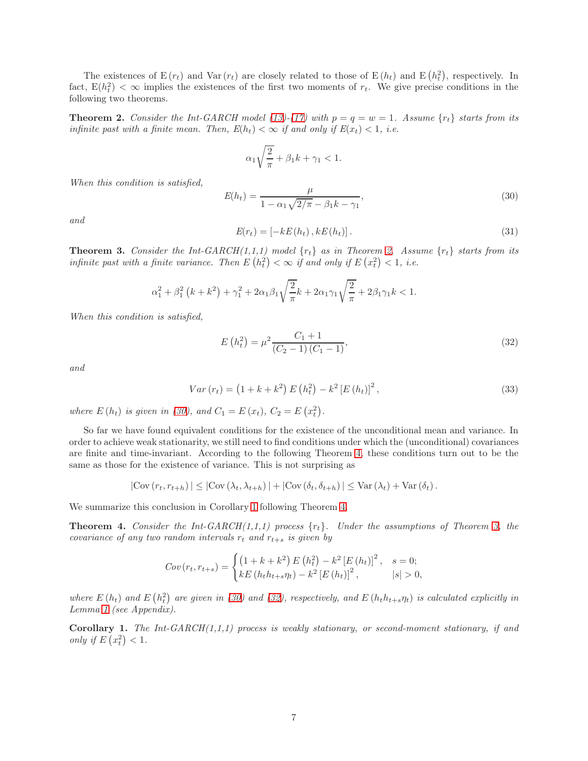The existences of  $E(r_t)$  and  $Var(r_t)$  are closely related to those of  $E(h_t)$  and  $E(h_t^2)$ , respectively. In fact,  $E(h_t^2) < \infty$  implies the existences of the first two moments of  $r_t$ . We give precise conditions in the following two theorems.

<span id="page-6-0"></span>**Theorem 2.** Consider the Int-GARCH model [\(13\)](#page-3-2)-[\(17\)](#page-3-2) with  $p = q = w = 1$ . Assume  $\{r_t\}$  starts from its infinite past with a finite mean. Then,  $E(h_t) < \infty$  if and only if  $E(x_t) < 1$ , i.e.

$$
\alpha_1 \sqrt{\frac{2}{\pi}} + \beta_1 k + \gamma_1 < 1.
$$

When this condition is satisfied,

<span id="page-6-1"></span>
$$
E(h_t) = \frac{\mu}{1 - \alpha_1 \sqrt{2/\pi} - \beta_1 k - \gamma_1},\tag{30}
$$

and

$$
E(r_t) = \left[ -kE(h_t) \, , kE(h_t) \right]. \tag{31}
$$

<span id="page-6-4"></span>**Theorem 3.** Consider the Int-GARCH(1,1,1) model  $\{r_t\}$  as in Theorem [2.](#page-6-0) Assume  $\{r_t\}$  starts from its infinite past with a finite variance. Then  $E(h_t^2) < \infty$  if and only if  $E(x_t^2) < 1$ , i.e.

$$
\alpha_1^2 + \beta_1^2 (k + k^2) + \gamma_1^2 + 2\alpha_1 \beta_1 \sqrt{\frac{2}{\pi}} k + 2\alpha_1 \gamma_1 \sqrt{\frac{2}{\pi}} + 2\beta_1 \gamma_1 k < 1.
$$

When this condition is satisfied,

<span id="page-6-5"></span>
$$
E(h_t^2) = \mu^2 \frac{C_1 + 1}{(C_2 - 1)(C_1 - 1)},
$$
\n(32)

and

$$
Var(r_t) = (1 + k + k^2) E(h_t^2) - k^2 [E(h_t)]^2,
$$
\n(33)

where  $E(h_t)$  is given in [\(30\)](#page-6-1), and  $C_1 = E(x_t)$ ,  $C_2 = E(x_t^2)$ .

So far we have found equivalent conditions for the existence of the unconditional mean and variance. In order to achieve weak stationarity, we still need to find conditions under which the (unconditional) covariances are finite and time-invariant. According to the following Theorem [4,](#page-6-2) these conditions turn out to be the same as those for the existence of variance. This is not surprising as

$$
|\text{Cov}(r_t, r_{t+h})| \leq |\text{Cov}(\lambda_t, \lambda_{t+h})| + |\text{Cov}(\delta_t, \delta_{t+h})| \leq \text{Var}(\lambda_t) + \text{Var}(\delta_t).
$$

We summarize this conclusion in Corollary [1](#page-6-3) following Theorem [4.](#page-6-2)

<span id="page-6-2"></span>**Theorem 4.** Consider the Int-GARCH $(1,1,1)$  process  $\{r_t\}$ . Under the assumptions of Theorem [3,](#page-6-4) the covariance of any two random intervals  $r_t$  and  $r_{t+s}$  is given by

$$
Cov(r_t, r_{t+s}) = \begin{cases} \left(1 + k + k^2\right) E\left(h_t^2\right) - k^2 \left[E\left(h_t\right)\right]^2, & s = 0; \\ kE\left(h_t h_{t+s} \eta_t\right) - k^2 \left[E\left(h_t\right)\right]^2, & |s| > 0, \end{cases}
$$

where  $E(h_t)$  and  $E(h_t^2)$  are given in [\(30\)](#page-6-1) and [\(32\)](#page-6-5), respectively, and  $E(h_t h_{t+s} \eta_t)$  is calculated explicitly in Lemma [1](#page-27-0) (see Appendix).

<span id="page-6-3"></span>Corollary 1. The Int-GARCH $(1,1,1)$  process is weakly stationary, or second-moment stationary, if and only if  $E\left(x_t^2\right) < 1$ .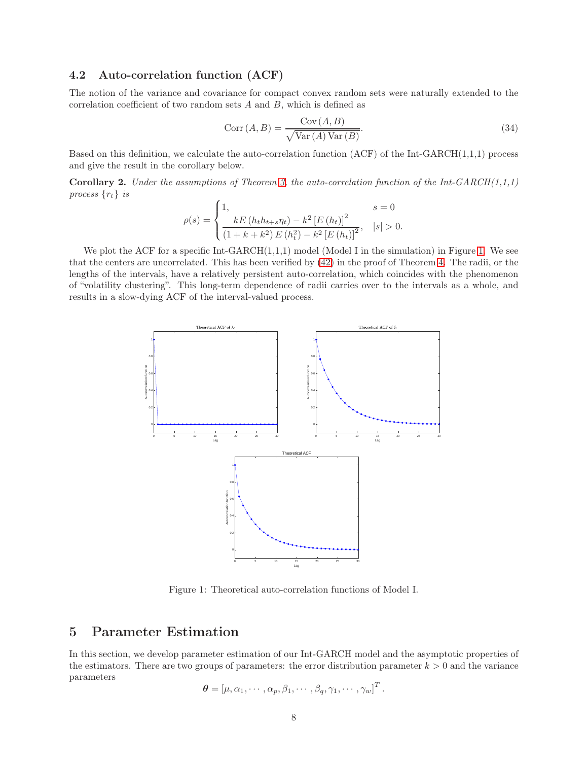### 4.2 Auto-correlation function (ACF)

The notion of the variance and covariance for compact convex random sets were naturally extended to the correlation coefficient of two random sets  $A$  and  $B$ , which is defined as

$$
Corr(A, B) = \frac{Cov(A, B)}{\sqrt{Var(A) Var(B)}}.
$$
\n(34)

Based on this definition, we calculate the auto-correlation function  $(ACF)$  of the Int-GARCH $(1,1,1)$  process and give the result in the corollary below.

<span id="page-7-2"></span>**Corollary 2.** Under the assumptions of Theorem [3,](#page-6-4) the auto-correlation function of the Int-GARCH $(1,1,1)$ process  $\{r_t\}$  is

$$
\rho(s) = \begin{cases} 1, & s = 0 \\ \frac{kE(h_t h_{t+s} \eta_t) - k^2 [E(h_t)]^2}{(1 + k + k^2) E(h_t^2) - k^2 [E(h_t)]^2}, & |s| > 0. \end{cases}
$$

We plot the ACF for a specific Int-GARCH(1,1,1) model (Model I in the simulation) in Figure [1.](#page-7-1) We see that the centers are uncorrelated. This has been verified by [\(42\)](#page-25-0) in the proof of Theorem [4.](#page-6-2) The radii, or the lengths of the intervals, have a relatively persistent auto-correlation, which coincides with the phenomenon of "volatility clustering". This long-term dependence of radii carries over to the intervals as a whole, and results in a slow-dying ACF of the interval-valued process.



<span id="page-7-1"></span>Figure 1: Theoretical auto-correlation functions of Model I.

# <span id="page-7-0"></span>5 Parameter Estimation

In this section, we develop parameter estimation of our Int-GARCH model and the asymptotic properties of the estimators. There are two groups of parameters: the error distribution parameter  $k > 0$  and the variance parameters

$$
\boldsymbol{\theta} = [\mu, \alpha_1, \cdots, \alpha_p, \beta_1, \cdots, \beta_q, \gamma_1, \cdots, \gamma_w]^T.
$$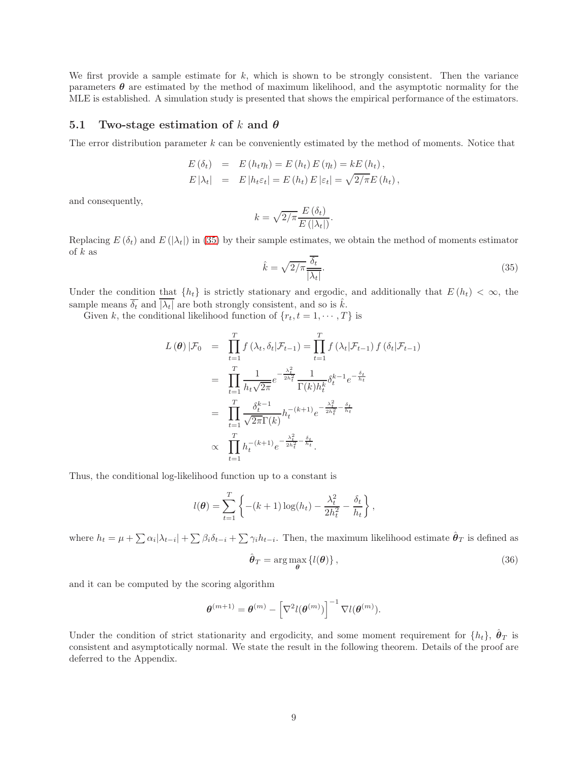We first provide a sample estimate for k, which is shown to be strongly consistent. Then the variance parameters  $\theta$  are estimated by the method of maximum likelihood, and the asymptotic normality for the MLE is established. A simulation study is presented that shows the empirical performance of the estimators.

### 5.1 Two-stage estimation of k and  $\theta$

The error distribution parameter  $k$  can be conveniently estimated by the method of moments. Notice that

$$
E(\delta_t) = E(h_t \eta_t) = E(h_t) E(\eta_t) = k E(h_t),
$$
  
\n
$$
E|\lambda_t| = E|h_t \varepsilon_t| = E(h_t) E|\varepsilon_t| = \sqrt{2/\pi} E(h_t),
$$

and consequently,

$$
k = \sqrt{2/\pi} \frac{E(\delta_t)}{E(|\lambda_t|)}.
$$

Replacing  $E(\delta_t)$  and  $E(|\lambda_t|)$  in [\(35\)](#page-8-0) by their sample estimates, we obtain the method of moments estimator of  $k$  as

<span id="page-8-0"></span>
$$
\hat{k} = \sqrt{2/\pi} \frac{\overline{\delta_t}}{|\lambda_t|}.\tag{35}
$$

Under the condition that  $\{h_t\}$  is strictly stationary and ergodic, and additionally that  $E(h_t) < \infty$ , the sample means  $\overline{\delta_t}$  and  $|\overline{\lambda_t}|$  are both strongly consistent, and so is  $\hat{k}$ .

Given k, the conditional likelihood function of  $\{r_t, t = 1, \dots, T\}$  is

$$
L(\theta) | \mathcal{F}_0 = \prod_{t=1}^T f(\lambda_t, \delta_t | \mathcal{F}_{t-1}) = \prod_{t=1}^T f(\lambda_t | \mathcal{F}_{t-1}) f(\delta_t | \mathcal{F}_{t-1})
$$
  
\n
$$
= \prod_{t=1}^T \frac{1}{h_t \sqrt{2\pi}} e^{-\frac{\lambda_t^2}{2h_t^2}} \frac{1}{\Gamma(k)h_t^k} \delta_t^{k-1} e^{-\frac{\delta_t}{h_t}}
$$
  
\n
$$
= \prod_{t=1}^T \frac{\delta_t^{k-1}}{\sqrt{2\pi} \Gamma(k)} h_t^{-(k+1)} e^{-\frac{\lambda_t^2}{2h_t^2} - \frac{\delta_t}{h_t}}
$$
  
\n
$$
\propto \prod_{t=1}^T h_t^{-(k+1)} e^{-\frac{\lambda_t^2}{2h_t^2} - \frac{\delta_t}{h_t}}.
$$

Thus, the conditional log-likelihood function up to a constant is

$$
l(\boldsymbol{\theta}) = \sum_{t=1}^{T} \left\{ -(k+1) \log(h_t) - \frac{\lambda_t^2}{2h_t^2} - \frac{\delta_t}{h_t} \right\},\,
$$

where  $h_t = \mu + \sum \alpha_i |\lambda_{t-i}| + \sum \beta_i \delta_{t-i} + \sum \gamma_i h_{t-i}$ . Then, the maximum likelihood estimate  $\hat{\theta}_T$  is defined as

<span id="page-8-1"></span>
$$
\hat{\boldsymbol{\theta}}_T = \arg\max_{\boldsymbol{\theta}} \left\{ l(\boldsymbol{\theta}) \right\},\tag{36}
$$

and it can be computed by the scoring algorithm

$$
\boldsymbol{\theta}^{(m+1)} = \boldsymbol{\theta}^{(m)} - \left[\nabla^2 l(\boldsymbol{\theta}^{(m)})\right]^{-1} \nabla l(\boldsymbol{\theta}^{(m)}).
$$

Under the condition of strict stationarity and ergodicity, and some moment requirement for  $\{h_t\}$ ,  $\hat{\boldsymbol{\theta}}_T$  is consistent and asymptotically normal. We state the result in the following theorem. Details of the proof are deferred to the Appendix.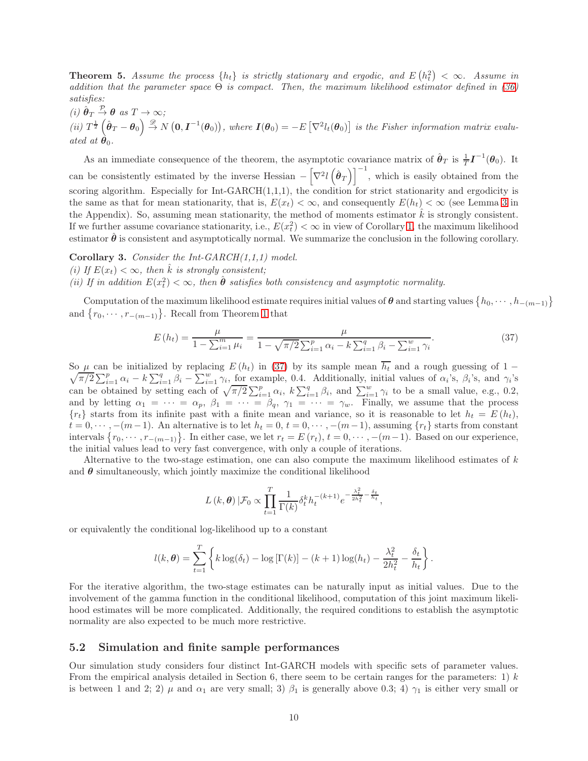<span id="page-9-2"></span>**Theorem 5.** Assume the process  $\{h_t\}$  is strictly stationary and ergodic, and  $E(h_t^2) < \infty$ . Assume in addition that the parameter space  $\Theta$  is compact. Then, the maximum likelihood estimator defined in [\(36\)](#page-8-1) satisfies:

(i)  $\hat{\boldsymbol{\theta}}_T \stackrel{\mathcal{P}}{\rightarrow} \boldsymbol{\theta}$  as  $T \rightarrow \infty$ ;

(ii)  $T^{\frac{1}{2}}(\hat{\theta}_T-\theta_0) \stackrel{\mathscr{D}}{\rightarrow} N(0,\mathbf{I}^{-1}(\theta_0)),$  where  $\mathbf{I}(\theta_0) = -E[\nabla^2 l_t(\theta_0)]$  is the Fisher information matrix evaluated at  $\theta_0$ .

As an immediate consequence of the theorem, the asymptotic covariance matrix of  $\hat{\theta}_T$  is  $\frac{1}{T}I^{-1}(\theta_0)$ . It can be consistently estimated by the inverse Hessian  $-\left[\nabla^2 l(\hat{\theta}_T)\right]^{-1}$ , which is easily obtained from the scoring algorithm. Especially for  $Int-GARCH(1,1,1)$ , the condition for strict stationarity and ergodicity is the same as that for mean stationarity, that is,  $E(x_t) < \infty$ , and consequently  $E(h_t) < \infty$  (see Lemma [3](#page-29-0) in the Appendix). So, assuming mean stationarity, the method of moments estimator  $\hat{k}$  is strongly consistent. If we further assume covariance stationarity, i.e.,  $E(x_t^2) < \infty$  in view of Corollary [1,](#page-6-3) the maximum likelihood estimator  $\hat{\theta}$  is consistent and asymptotically normal. We summarize the conclusion in the following corollary.

**Corollary 3.** Consider the Int-GARCH $(1,1,1)$  model.

(i) If  $E(x_t) < \infty$ , then  $\hat{k}$  is strongly consistent;

(ii) If in addition  $E(x_t^2) < \infty$ , then  $\hat{\theta}$  satisfies both consistency and asymptotic normality.

Computation of the maximum likelihood estimate requires initial values of  $\theta$  and starting values  $\{h_0, \dots, h_{-(m-1)}\}$ and  $\{r_0, \dots, r_{-(m-1)}\}$ . Recall from Theorem [1](#page-5-3) that

<span id="page-9-0"></span>
$$
E(h_t) = \frac{\mu}{1 - \sum_{i=1}^{m} \mu_i} = \frac{\mu}{1 - \sqrt{\pi/2} \sum_{i=1}^{p} \alpha_i - k \sum_{i=1}^{q} \beta_i - \sum_{i=1}^{w} \gamma_i}.
$$
(37)

So  $\mu$  can be initialized by replacing  $E(h_t)$  in [\(37\)](#page-9-0) by its sample mean  $h_t$  and a rough guessing of 1 −  $\sqrt{\pi/2} \sum_{i=1}^p \alpha_i - k \sum_{i=1}^q \beta_i - \sum_{i=1}^w \gamma_i$ , for example, 0.4. Additionally, initial values of  $\alpha_i$ 's,  $\beta_i$ 's, and  $\gamma_i$ 's can be obtained by setting each of  $\sqrt{\pi/2} \sum_{i=1}^p \alpha_i$ ,  $k \sum_{i=1}^q \beta_i$ , and  $\sum_{i=1}^w \gamma_i$  to be a small value, e.g., 0.2, and by letting  $\alpha_1 = \cdots = \alpha_p$ ,  $\beta_1 = \cdots = \beta_q$ ,  $\gamma_1 = \cdots = \gamma_w$ . Finally, we assume that the process  ${r_t}$  starts from its infinite past with a finite mean and variance, so it is reasonable to let  $h_t = E(h_t)$ ,  $t = 0, \dots, -(m-1)$ . An alternative is to let  $h_t = 0, t = 0, \dots, -(m-1)$ , assuming  $\{r_t\}$  starts from constant intervals  $\{r_0, \dots, r_{-(m-1)}\}$ . In either case, we let  $r_t = E(r_t)$ ,  $t = 0, \dots, -(m-1)$ . Based on our experience, the initial values lead to very fast convergence, with only a couple of iterations.

Alternative to the two-stage estimation, one can also compute the maximum likelihood estimates of  $k$ and  $\theta$  simultaneously, which jointly maximize the conditional likelihood

$$
L(k, \theta) | \mathcal{F}_0 \propto \prod_{t=1}^T \frac{1}{\Gamma(k)} \delta_t^k h_t^{-(k+1)} e^{-\frac{\lambda_t^2}{2h_t^2} - \frac{\delta_t}{h_t}},
$$

or equivalently the conditional log-likelihood up to a constant

$$
l(k, \theta) = \sum_{t=1}^{T} \left\{ k \log(\delta_t) - \log \left[ \Gamma(k) \right] - (k+1) \log(h_t) - \frac{\lambda_t^2}{2h_t^2} - \frac{\delta_t}{h_t} \right\}.
$$

For the iterative algorithm, the two-stage estimates can be naturally input as initial values. Due to the involvement of the gamma function in the conditional likelihood, computation of this joint maximum likelihood estimates will be more complicated. Additionally, the required conditions to establish the asymptotic normality are also expected to be much more restrictive.

#### <span id="page-9-1"></span>5.2 Simulation and finite sample performances

Our simulation study considers four distinct Int-GARCH models with specific sets of parameter values. From the empirical analysis detailed in Section 6, there seem to be certain ranges for the parameters: 1)  $k$ is between 1 and 2; 2)  $\mu$  and  $\alpha_1$  are very small; 3)  $\beta_1$  is generally above 0.3; 4)  $\gamma_1$  is either very small or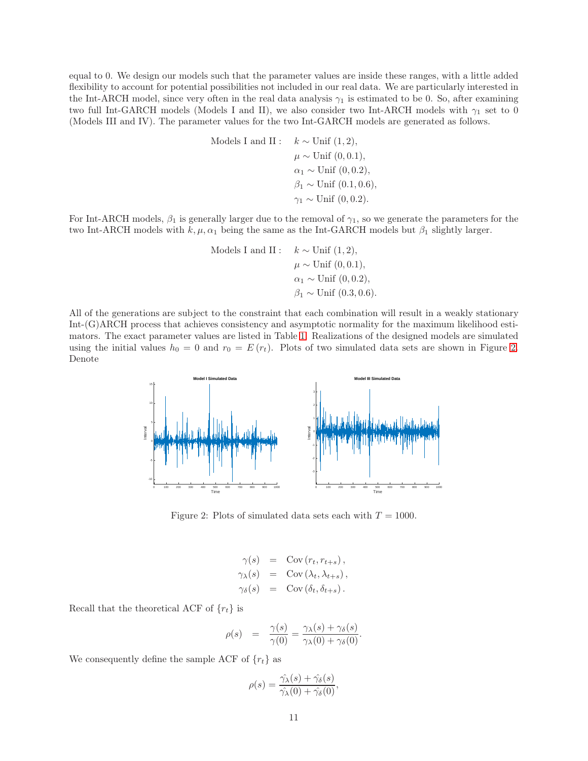equal to 0. We design our models such that the parameter values are inside these ranges, with a little added flexibility to account for potential possibilities not included in our real data. We are particularly interested in the Int-ARCH model, since very often in the real data analysis  $\gamma_1$  is estimated to be 0. So, after examining two full Int-GARCH models (Models I and II), we also consider two Int-ARCH models with  $\gamma_1$  set to 0 (Models III and IV). The parameter values for the two Int-GARCH models are generated as follows.

Models I and II : 
$$
k \sim \text{Unif } (1, 2),
$$
  
\n $\mu \sim \text{Unif } (0, 0.1),$   
\n $\alpha_1 \sim \text{Unif } (0, 0.2),$   
\n $\beta_1 \sim \text{Unif } (0.1, 0.6),$   
\n $\gamma_1 \sim \text{Unif } (0, 0.2).$ 

For Int-ARCH models,  $\beta_1$  is generally larger due to the removal of  $\gamma_1$ , so we generate the parameters for the two Int-ARCH models with  $k, \mu, \alpha_1$  being the same as the Int-GARCH models but  $\beta_1$  slightly larger.

Models I and II:

\n
$$
k \sim \text{Unif } (1, 2),
$$
\n
$$
\mu \sim \text{Unif } (0, 0.1),
$$
\n
$$
\alpha_1 \sim \text{Unif } (0, 0.2),
$$
\n
$$
\beta_1 \sim \text{Unif } (0.3, 0.6).
$$

All of the generations are subject to the constraint that each combination will result in a weakly stationary Int-(G)ARCH process that achieves consistency and asymptotic normality for the maximum likelihood estimators. The exact parameter values are listed in Table [1.](#page-11-0) Realizations of the designed models are simulated using the initial values  $h_0 = 0$  and  $r_0 = E(r_t)$ . Plots of two simulated data sets are shown in Figure [2.](#page-10-0) Denote



Figure 2: Plots of simulated data sets each with  $T = 1000$ .

<span id="page-10-0"></span>
$$
\gamma(s) = \text{Cov}(r_t, r_{t+s}),
$$
  
\n
$$
\gamma_{\lambda}(s) = \text{Cov}(\lambda_t, \lambda_{t+s}),
$$
  
\n
$$
\gamma_{\delta}(s) = \text{Cov}(\delta_t, \delta_{t+s}).
$$

Recall that the theoretical ACF of  ${r_t}$  is

$$
\rho(s) = \frac{\gamma(s)}{\gamma(0)} = \frac{\gamma_\lambda(s) + \gamma_\delta(s)}{\gamma_\lambda(0) + \gamma_\delta(0)}.
$$

We consequently define the sample ACF of  ${r_t}$  as

$$
\rho(s) = \frac{\hat{\gamma}_{\lambda}(s) + \hat{\gamma}_{\delta}(s)}{\hat{\gamma}_{\lambda}(0) + \hat{\gamma}_{\delta}(0)},
$$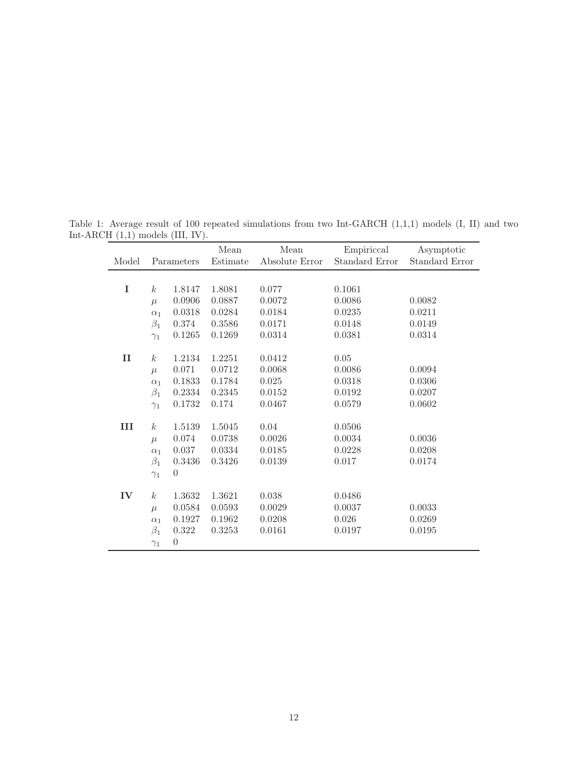<span id="page-11-0"></span>

|              |                  |                  | Mean     | Mean           | Empiriccal            | Asymptotic            |
|--------------|------------------|------------------|----------|----------------|-----------------------|-----------------------|
| Model        |                  | Parameters       | Estimate | Absolute Error | <b>Standard Error</b> | <b>Standard Error</b> |
|              |                  |                  |          |                |                       |                       |
| $\mathbf I$  | k <sub>i</sub>   | 1.8147           | 1.8081   | 0.077          | 0.1061                |                       |
|              | $\mu$            | 0.0906           | 0.0887   | 0.0072         | 0.0086                | 0.0082                |
|              | $\alpha_1$       | 0.0318           | 0.0284   | 0.0184         | 0.0235                | 0.0211                |
|              | $\beta_1$        | 0.374            | 0.3586   | 0.0171         | 0.0148                | 0.0149                |
|              | $\gamma_1$       | 0.1265           | 0.1269   | 0.0314         | 0.0381                | 0.0314                |
| $\mathbf{I}$ | $\boldsymbol{k}$ | 1.2134           | 1.2251   | 0.0412         | 0.05                  |                       |
|              | $\mu$            | 0.071            | 0.0712   | 0.0068         | 0.0086                | 0.0094                |
|              | $\alpha_1$       | 0.1833           | 0.1784   | 0.025          | 0.0318                | 0.0306                |
|              | $\beta_1$        | 0.2334           | 0.2345   | 0.0152         | 0.0192                | 0.0207                |
|              | $\gamma_1$       | 0.1732           | 0.174    | 0.0467         | 0.0579                | 0.0602                |
| III          | $\boldsymbol{k}$ | 1.5139           | 1.5045   | 0.04           | 0.0506                |                       |
|              | $\mu$            | 0.074            | 0.0738   | 0.0026         | 0.0034                | 0.0036                |
|              | $\alpha_1$       | 0.037            | 0.0334   | 0.0185         | 0.0228                | 0.0208                |
|              | $\beta_1$        | 0.3436           | 0.3426   | 0.0139         | 0.017                 | 0.0174                |
|              | $\gamma_1$       | $\overline{0}$   |          |                |                       |                       |
| IV           | k <sub>i</sub>   | 1.3632           | 1.3621   | 0.038          | 0.0486                |                       |
|              | $\mu$            | 0.0584           | 0.0593   | 0.0029         | 0.0037                | 0.0033                |
|              | $\alpha_1$       | 0.1927           | 0.1962   | 0.0208         | 0.026                 | 0.0269                |
|              | $\beta_1$        | 0.322            | 0.3253   | 0.0161         | 0.0197                | 0.0195                |
|              | $\gamma_1$       | $\boldsymbol{0}$ |          |                |                       |                       |

Table 1: Average result of 100 repeated simulations from two Int-GARCH (1,1,1) models (I, II) and two Int-ARCH (1,1) models (III, IV).  $\overline{\phantom{0}}$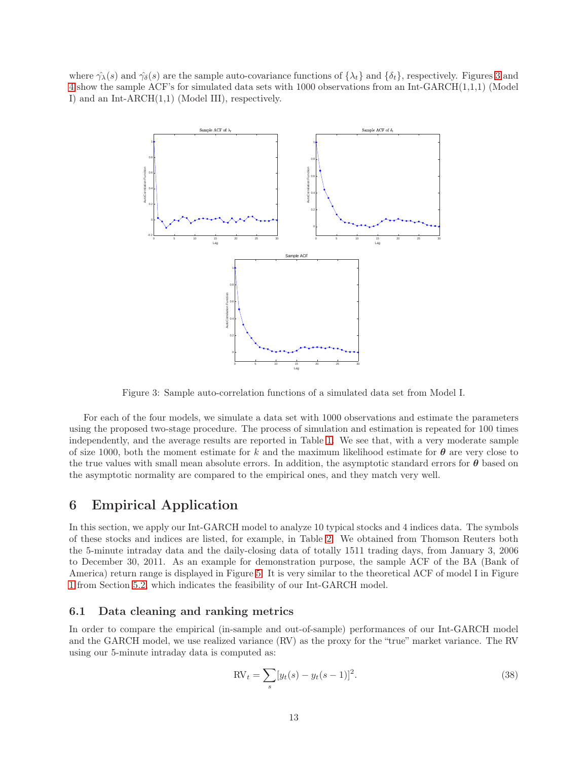where  $\hat{\gamma}_{\lambda}(s)$  and  $\hat{\gamma}_{\delta}(s)$  are the sample auto-covariance functions of  $\{\lambda_t\}$  and  $\{\delta_t\}$ , respectively. Figures [3](#page-12-1) and [4](#page-13-0) show the sample ACF's for simulated data sets with 1000 observations from an Int-GARCH(1,1,1) (Model I) and an Int-ARCH(1,1) (Model III), respectively.



<span id="page-12-1"></span>Figure 3: Sample auto-correlation functions of a simulated data set from Model I.

For each of the four models, we simulate a data set with 1000 observations and estimate the parameters using the proposed two-stage procedure. The process of simulation and estimation is repeated for 100 times independently, and the average results are reported in Table [1.](#page-11-0) We see that, with a very moderate sample of size 1000, both the moment estimate for k and the maximum likelihood estimate for  $\theta$  are very close to the true values with small mean absolute errors. In addition, the asymptotic standard errors for  $\theta$  based on the asymptotic normality are compared to the empirical ones, and they match very well.

### <span id="page-12-0"></span>6 Empirical Application

In this section, we apply our Int-GARCH model to analyze 10 typical stocks and 4 indices data. The symbols of these stocks and indices are listed, for example, in Table [2.](#page-15-1) We obtained from Thomson Reuters both the 5-minute intraday data and the daily-closing data of totally 1511 trading days, from January 3, 2006 to December 30, 2011. As an example for demonstration purpose, the sample ACF of the BA (Bank of America) return range is displayed in Figure [5.](#page-14-0) It is very similar to the theoretical ACF of model I in Figure [1](#page-7-1) from Section [5.2,](#page-9-1) which indicates the feasibility of our Int-GARCH model.

#### 6.1 Data cleaning and ranking metrics

In order to compare the empirical (in-sample and out-of-sample) performances of our Int-GARCH model and the GARCH model, we use realized variance (RV) as the proxy for the "true" market variance. The RV using our 5-minute intraday data is computed as:

$$
RV_t = \sum_s [y_t(s) - y_t(s-1)]^2.
$$
\n(38)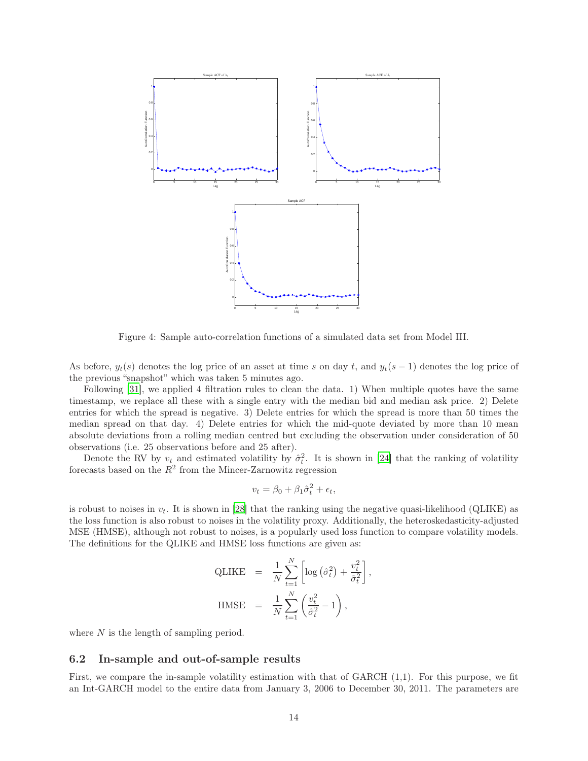

<span id="page-13-0"></span>Figure 4: Sample auto-correlation functions of a simulated data set from Model III.

As before,  $y_t(s)$  denotes the log price of an asset at time s on day t, and  $y_t(s-1)$  denotes the log price of the previous "snapshot" which was taken 5 minutes ago.

Following [\[31\]](#page-19-10), we applied 4 filtration rules to clean the data. 1) When multiple quotes have the same timestamp, we replace all these with a single entry with the median bid and median ask price. 2) Delete entries for which the spread is negative. 3) Delete entries for which the spread is more than 50 times the median spread on that day. 4) Delete entries for which the mid-quote deviated by more than 10 mean absolute deviations from a rolling median centred but excluding the observation under consideration of 50 observations (i.e. 25 observations before and 25 after).

Denote the RV by  $v_t$  and estimated volatility by  $\hat{\sigma}_t^2$ . It is shown in [\[24](#page-19-11)] that the ranking of volatility forecasts based on the  $R^2$  from the Mincer-Zarnowitz regression

$$
v_t = \beta_0 + \beta_1 \hat{\sigma}_t^2 + \epsilon_t,
$$

is robust to noises in  $v_t$ . It is shown in [\[28\]](#page-19-12) that the ranking using the negative quasi-likelihood (QLIKE) as the loss function is also robust to noises in the volatility proxy. Additionally, the heteroskedasticity-adjusted MSE (HMSE), although not robust to noises, is a popularly used loss function to compare volatility models. The definitions for the QLIKE and HMSE loss functions are given as:

$$
\begin{array}{rcl} \text{QLIKE} & = & \frac{1}{N} \sum_{t=1}^{N} \left[ \log \left( \hat{\sigma}_t^2 \right) + \frac{v_t^2}{\hat{\sigma}_t^2} \right], \\ \text{HMSE} & = & \frac{1}{N} \sum_{t=1}^{N} \left( \frac{v_t^2}{\hat{\sigma}_t^2} - 1 \right), \end{array}
$$

where  $N$  is the length of sampling period.

#### 6.2 In-sample and out-of-sample results

First, we compare the in-sample volatility estimation with that of GARCH (1,1). For this purpose, we fit an Int-GARCH model to the entire data from January 3, 2006 to December 30, 2011. The parameters are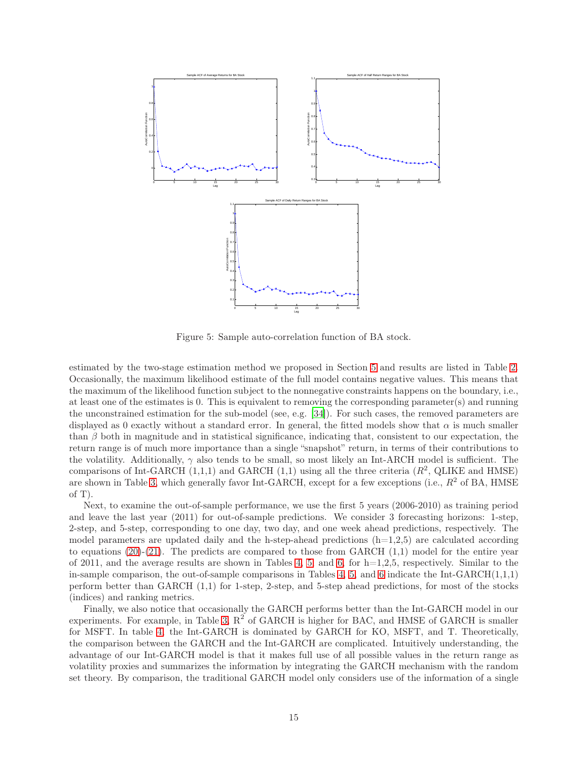

<span id="page-14-0"></span>Figure 5: Sample auto-correlation function of BA stock.

estimated by the two-stage estimation method we proposed in Section [5](#page-7-0) and results are listed in Table [2.](#page-15-1) Occasionally, the maximum likelihood estimate of the full model contains negative values. This means that the maximum of the likelihood function subject to the nonnegative constraints happens on the boundary, i.e., at least one of the estimates is 0. This is equivalent to removing the corresponding parameter(s) and running the unconstrained estimation for the sub-model (see, e.g. [\[34\]](#page-19-13)). For such cases, the removed parameters are displayed as 0 exactly without a standard error. In general, the fitted models show that  $\alpha$  is much smaller than  $\beta$  both in magnitude and in statistical significance, indicating that, consistent to our expectation, the return range is of much more importance than a single "snapshot" return, in terms of their contributions to the volatility. Additionally,  $\gamma$  also tends to be small, so most likely an Int-ARCH model is sufficient. The comparisons of Int-GARCH  $(1,1,1)$  and GARCH  $(1,1)$  using all the three criteria  $(R^2, QLIKE)$  and HMSE) are shown in Table [3,](#page-16-0) which generally favor Int-GARCH, except for a few exceptions (i.e.,  $R^2$  of BA, HMSE of T).

Next, to examine the out-of-sample performance, we use the first 5 years (2006-2010) as training period and leave the last year (2011) for out-of-sample predictions. We consider 3 forecasting horizons: 1-step, 2-step, and 5-step, corresponding to one day, two day, and one week ahead predictions, respectively. The model parameters are updated daily and the h-step-ahead predictions  $(h=1,2,5)$  are calculated according to equations  $(20)-(21)$  $(20)-(21)$ . The predicts are compared to those from GARCH  $(1,1)$  model for the entire year of 2011, and the average results are shown in Tables [4,](#page-16-1) [5,](#page-17-0) and [6,](#page-17-1) for  $h=1,2,5$ , respectively. Similar to the in-sample comparison, the out-of-sample comparisons in Tables [4,](#page-16-1) [5,](#page-17-0) and [6](#page-17-1) indicate the Int-GARCH $(1,1,1)$ perform better than GARCH (1,1) for 1-step, 2-step, and 5-step ahead predictions, for most of the stocks (indices) and ranking metrics.

Finally, we also notice that occasionally the GARCH performs better than the Int-GARCH model in our experiments. For example, in Table [3,](#page-16-0)  $R^2$  of GARCH is higher for BAC, and HMSE of GARCH is smaller for MSFT. In table [4,](#page-16-1) the Int-GARCH is dominated by GARCH for KO, MSFT, and T. Theoretically, the comparison between the GARCH and the Int-GARCH are complicated. Intuitively understanding, the advantage of our Int-GARCH model is that it makes full use of all possible values in the return range as volatility proxies and summarizes the information by integrating the GARCH mechanism with the random set theory. By comparison, the traditional GARCH model only considers use of the information of a single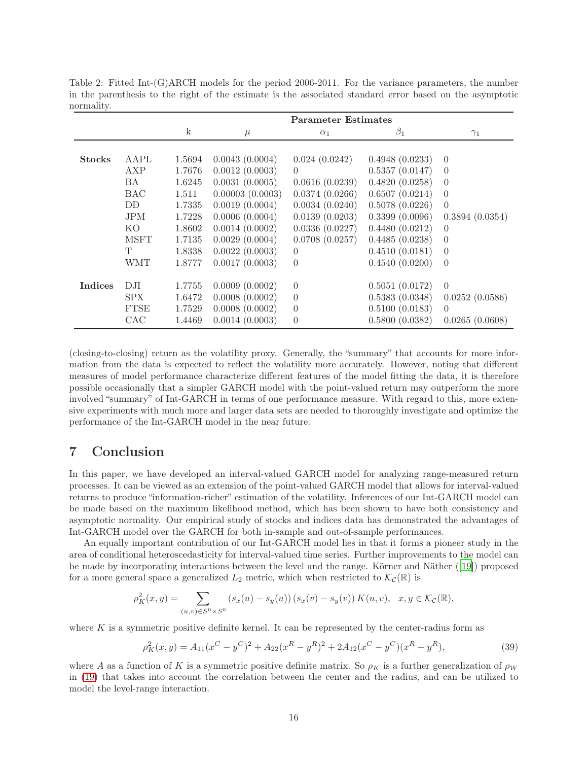<span id="page-15-1"></span>Table 2: Fitted Int-(G)ARCH models for the period 2006-2011. For the variance parameters, the number in the parenthesis to the right of the estimate is the associated standard error based on the asymptotic normality.

|                |             | <b>Parameter Estimates</b> |                 |                |                |                |  |  |
|----------------|-------------|----------------------------|-----------------|----------------|----------------|----------------|--|--|
|                |             | $\mathbf k$                | $\mu$           | $\alpha_1$     | $\beta_1$      | $\gamma_1$     |  |  |
|                |             |                            |                 |                |                |                |  |  |
| <b>Stocks</b>  | AAPL        | 1.5694                     | 0.0043(0.0004)  | 0.024(0.0242)  | 0.4948(0.0233) | $\overline{0}$ |  |  |
|                | AXP         | 1.7676                     | 0.0012(0.0003)  | $\Omega$       | 0.5357(0.0147) | $\theta$       |  |  |
|                | BA.         | 1.6245                     | 0.0031(0.0005)  | 0.0616(0.0239) | 0.4820(0.0258) | $\theta$       |  |  |
|                | <b>BAC</b>  | 1.511                      | 0.00003(0.0003) | 0.0374(0.0266) | 0.6507(0.0214) | $\overline{0}$ |  |  |
|                | DD          | 1.7335                     | 0.0019(0.0004)  | 0.0034(0.0240) | 0.5078(0.0226) | $\overline{0}$ |  |  |
|                | <b>JPM</b>  | 1.7228                     | 0.0006(0.0004)  | 0.0139(0.0203) | 0.3399(0.0096) | 0.3894(0.0354) |  |  |
|                | KO.         | 1.8602                     | 0.0014(0.0002)  | 0.0336(0.0227) | 0.4480(0.0212) | $\theta$       |  |  |
|                | <b>MSFT</b> | 1.7135                     | 0.0029(0.0004)  | 0.0708(0.0257) | 0.4485(0.0238) | $\theta$       |  |  |
|                | T           | 1.8338                     | 0.0022(0.0003)  | $\overline{0}$ | 0.4510(0.0181) | $\theta$       |  |  |
|                | WMT         | 1.8777                     | 0.0017(0.0003)  | $\Omega$       | 0.4540(0.0200) | $\Omega$       |  |  |
|                |             |                            |                 |                |                |                |  |  |
| <b>Indices</b> | D.H         | 1.7755                     | 0.0009(0.0002)  | $\overline{0}$ | 0.5051(0.0172) | $\overline{0}$ |  |  |
|                | SPX         | 1.6472                     | 0.0008(0.0002)  | $\theta$       | 0.5383(0.0348) | 0.0252(0.0586) |  |  |
|                | <b>FTSE</b> | 1.7529                     | 0.0008(0.0002)  | $\overline{0}$ | 0.5100(0.0183) | $\theta$       |  |  |
|                | CAC         | 1.4469                     | 0.0014(0.0003)  | $\overline{0}$ | 0.5800(0.0382) | 0.0265(0.0608) |  |  |

(closing-to-closing) return as the volatility proxy. Generally, the "summary" that accounts for more information from the data is expected to reflect the volatility more accurately. However, noting that different measures of model performance characterize different features of the model fitting the data, it is therefore possible occasionally that a simpler GARCH model with the point-valued return may outperform the more involved "summary" of Int-GARCH in terms of one performance measure. With regard to this, more extensive experiments with much more and larger data sets are needed to thoroughly investigate and optimize the performance of the Int-GARCH model in the near future.

# <span id="page-15-0"></span>7 Conclusion

In this paper, we have developed an interval-valued GARCH model for analyzing range-measured return processes. It can be viewed as an extension of the point-valued GARCH model that allows for interval-valued returns to produce "information-richer" estimation of the volatility. Inferences of our Int-GARCH model can be made based on the maximum likelihood method, which has been shown to have both consistency and asymptotic normality. Our empirical study of stocks and indices data has demonstrated the advantages of Int-GARCH model over the GARCH for both in-sample and out-of-sample performances.

An equally important contribution of our Int-GARCH model lies in that it forms a pioneer study in the area of conditional heteroscedasticity for interval-valued time series. Further improvements to the model can be made by incorporating interactions between the level and the range. Körner and Näther ([\[19\]](#page-18-19)) proposed for a more general space a generalized  $L_2$  metric, which when restricted to  $\mathcal{K}_{\mathcal{C}}(\mathbb{R})$  is

$$
\rho_K^2(x, y) = \sum_{(u, v) \in S^0 \times S^0} (s_x(u) - s_y(u)) (s_x(v) - s_y(v)) K(u, v), \quad x, y \in \mathcal{K}_{\mathcal{C}}(\mathbb{R}),
$$

where K is a symmetric positive definite kernel. It can be represented by the center-radius form as

$$
\rho_K^2(x,y) = A_{11}(x^C - y^C)^2 + A_{22}(x^R - y^R)^2 + 2A_{12}(x^C - y^C)(x^R - y^R),\tag{39}
$$

where A as a function of K is a symmetric positive definite matrix. So  $\rho_K$  is a further generalization of  $\rho_W$ in [\(19\)](#page-4-2) that takes into account the correlation between the center and the radius, and can be utilized to model the level-range interaction.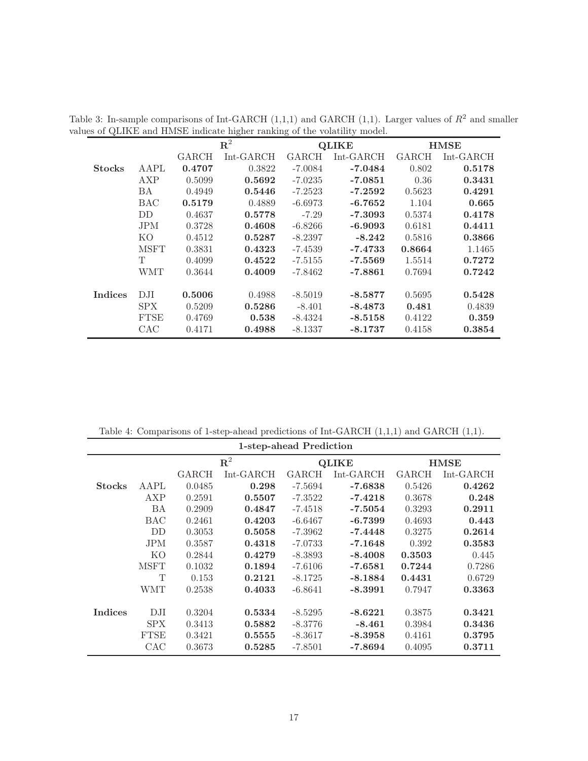<span id="page-16-0"></span>

|               |             | ${\bf R}^2$ |             |           | <b>QLIKE</b> | <b>HMSE</b> |             |
|---------------|-------------|-------------|-------------|-----------|--------------|-------------|-------------|
|               |             | GARCH       | $Int-GARCH$ | GARCH     | $Int-GARCH$  | GARCH       | $Int-GARCH$ |
| <b>Stocks</b> | AAPL        | 0.4707      | 0.3822      | -7.0084   | $-7.0484$    | 0.802       | 0.5178      |
|               | AXP         | 0.5099      | 0.5692      | $-7.0235$ | $-7.0851$    | 0.36        | 0.3431      |
|               | BA.         | 0.4949      | 0.5446      | $-7.2523$ | $-7.2592$    | 0.5623      | 0.4291      |
|               | <b>BAC</b>  | 0.5179      | 0.4889      | $-6.6973$ | $-6.7652$    | 1.104       | 0.665       |
|               | DD.         | 0.4637      | 0.5778      | $-7.29$   | $-7.3093$    | 0.5374      | 0.4178      |
|               | <b>JPM</b>  | 0.3728      | 0.4608      | $-6.8266$ | $-6.9093$    | 0.6181      | 0.4411      |
|               | KO.         | 0.4512      | 0.5287      | $-8.2397$ | $-8.242$     | 0.5816      | 0.3866      |
|               | <b>MSFT</b> | 0.3831      | 0.4323      | $-7.4539$ | $-7.4733$    | 0.8664      | 1.1465      |
|               | T.          | 0.4099      | 0.4522      | $-7.5155$ | $-7.5569$    | 1.5514      | 0.7272      |
|               | <b>WMT</b>  | 0.3644      | 0.4009      | -7.8462   | $-7.8861$    | 0.7694      | 0.7242      |
|               |             |             |             |           |              |             |             |
| Indices       | DJI         | 0.5006      | 0.4988      | $-8.5019$ | $-8.5877$    | 0.5695      | 0.5428      |
|               | SPX.        | 0.5209      | 0.5286      | $-8.401$  | $-8.4873$    | 0.481       | 0.4839      |
|               | <b>FTSE</b> | 0.4769      | 0.538       | $-8.4324$ | $-8.5158$    | 0.4122      | 0.359       |
|               | CAC         | 0.4171      | 0.4988      | $-8.1337$ | $-8.1737$    | 0.4158      | 0.3854      |

Table 3: In-sample comparisons of Int-GARCH  $(1,1,1)$  and GARCH  $(1,1)$ . Larger values of  $R^2$  and smaller values of QLIKE and HMSE indicate higher ranking of the volatility model.

<span id="page-16-1"></span>Table 4: Comparisons of 1-step-ahead predictions of Int-GARCH (1,1,1) and GARCH (1,1).

|               | 1-step-ahead Prediction |             |           |              |              |        |             |  |  |
|---------------|-------------------------|-------------|-----------|--------------|--------------|--------|-------------|--|--|
|               |                         | ${\bf R}^2$ |           |              | <b>QLIKE</b> |        | <b>HMSE</b> |  |  |
|               |                         | GARCH       | Int-GARCH | <b>GARCH</b> | Int-GARCH    | GARCH  | $Int-GARCH$ |  |  |
| <b>Stocks</b> | AAPL                    | 0.0485      | 0.298     | $-7.5694$    | $-7.6838$    | 0.5426 | 0.4262      |  |  |
|               | AXP                     | 0.2591      | 0.5507    | $-7.3522$    | $-7.4218$    | 0.3678 | 0.248       |  |  |
|               | BA                      | 0.2909      | 0.4847    | $-7.4518$    | $-7.5054$    | 0.3293 | 0.2911      |  |  |
|               | <b>BAC</b>              | 0.2461      | 0.4203    | $-6.6467$    | $-6.7399$    | 0.4693 | 0.443       |  |  |
|               | DD                      | 0.3053      | 0.5058    | $-7.3962$    | $-7.4448$    | 0.3275 | 0.2614      |  |  |
|               | <b>JPM</b>              | 0.3587      | 0.4318    | $-7.0733$    | $-7.1648$    | 0.392  | 0.3583      |  |  |
|               | KO.                     | 0.2844      | 0.4279    | $-8.3893$    | $-8.4008$    | 0.3503 | 0.445       |  |  |
|               | <b>MSFT</b>             | 0.1032      | 0.1894    | $-7.6106$    | $-7.6581$    | 0.7244 | 0.7286      |  |  |
|               | T                       | 0.153       | 0.2121    | $-8.1725$    | $-8.1884$    | 0.4431 | 0.6729      |  |  |
|               | <b>WMT</b>              | 0.2538      | 0.4033    | $-6.8641$    | $-8.3991$    | 0.7947 | 0.3363      |  |  |
|               |                         |             |           |              |              |        |             |  |  |
| Indices       | DJI                     | 0.3204      | 0.5334    | $-8.5295$    | $-8.6221$    | 0.3875 | 0.3421      |  |  |
|               | SPX.                    | 0.3413      | 0.5882    | $-8.3776$    | $-8.461$     | 0.3984 | 0.3436      |  |  |
|               | <b>FTSE</b>             | 0.3421      | 0.5555    | $-8.3617$    | $-8.3958$    | 0.4161 | 0.3795      |  |  |
|               | CAC                     | 0.3673      | 0.5285    | $-7.8501$    | -7.8694      | 0.4095 | 0.3711      |  |  |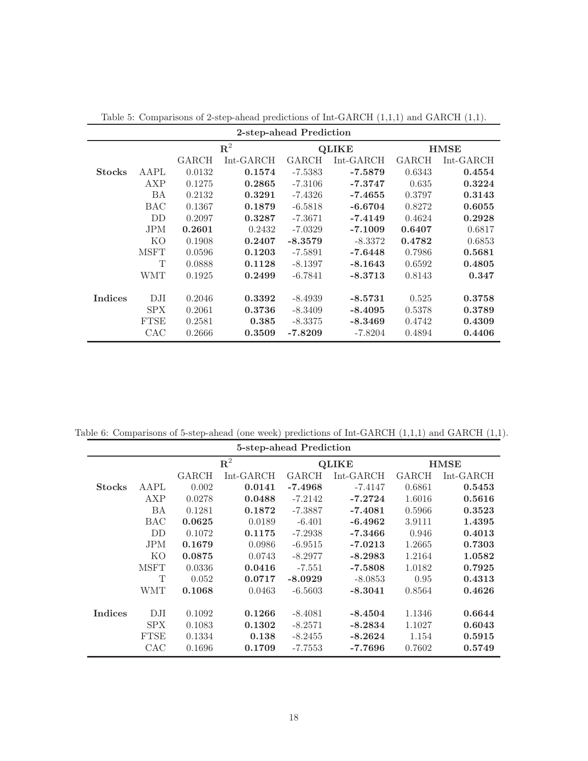| 2-step-ahead Prediction |             |              |             |           |              |        |             |  |  |
|-------------------------|-------------|--------------|-------------|-----------|--------------|--------|-------------|--|--|
|                         |             | ${\bf R}^2$  |             |           | <b>QLIKE</b> |        | <b>HMSE</b> |  |  |
|                         |             | <b>GARCH</b> | $Int-GARCH$ | GARCH     | $Int-GARCH$  | GARCH  | $Int-GARCH$ |  |  |
| <b>Stocks</b>           | <b>AAPL</b> | 0.0132       | 0.1574      | $-7.5383$ | $-7.5879$    | 0.6343 | 0.4554      |  |  |
|                         | AXP         | 0.1275       | 0.2865      | $-7.3106$ | $-7.3747$    | 0.635  | 0.3224      |  |  |
|                         | <b>BA</b>   | 0.2132       | 0.3291      | $-7.4326$ | $-7.4655$    | 0.3797 | 0.3143      |  |  |
|                         | <b>BAC</b>  | 0.1367       | 0.1879      | $-6.5818$ | $-6.6704$    | 0.8272 | 0.6055      |  |  |
|                         | DD          | 0.2097       | 0.3287      | $-7.3671$ | $-7.4149$    | 0.4624 | 0.2928      |  |  |
|                         | <b>JPM</b>  | 0.2601       | 0.2432      | $-7.0329$ | $-7.1009$    | 0.6407 | 0.6817      |  |  |
|                         | KO          | 0.1908       | 0.2407      | $-8.3579$ | $-8.3372$    | 0.4782 | 0.6853      |  |  |
|                         | <b>MSFT</b> | 0.0596       | 0.1203      | $-7.5891$ | $-7.6448$    | 0.7986 | 0.5681      |  |  |
|                         | T           | 0.0888       | 0.1128      | $-8.1397$ | $-8.1643$    | 0.6592 | 0.4805      |  |  |
|                         | <b>WMT</b>  | 0.1925       | 0.2499      | $-6.7841$ | $-8.3713$    | 0.8143 | 0.347       |  |  |
|                         |             |              |             |           |              |        |             |  |  |
| <b>Indices</b>          | DJI         | 0.2046       | 0.3392      | $-8.4939$ | $-8.5731$    | 0.525  | 0.3758      |  |  |
|                         | SPX.        | 0.2061       | 0.3736      | $-8.3409$ | $-8.4095$    | 0.5378 | 0.3789      |  |  |
|                         | <b>FTSE</b> | 0.2581       | 0.385       | $-8.3375$ | $-8.3469$    | 0.4742 | 0.4309      |  |  |
|                         | CAC         | 0.2666       | 0.3509      | $-7.8209$ | $-7.8204$    | 0.4894 | 0.4406      |  |  |

<span id="page-17-0"></span>Table 5: Comparisons of 2-step-ahead predictions of Int-GARCH (1,1,1) and GARCH (1,1).

Table 6: Comparisons of 5-step-ahead (one week) predictions of Int-GARCH (1,1,1) and GARCH (1,1).

<span id="page-17-1"></span>

|               | 5-step-ahead Prediction |        |             |              |              |             |             |  |  |
|---------------|-------------------------|--------|-------------|--------------|--------------|-------------|-------------|--|--|
|               |                         |        | ${\bf R}^2$ |              | <b>QLIKE</b> | <b>HMSE</b> |             |  |  |
|               |                         | GARCH  | $Int-GARCH$ | <b>GARCH</b> | Int-GARCH    | GARCH       | $Int-GARCH$ |  |  |
| <b>Stocks</b> | <b>AAPL</b>             | 0.002  | 0.0141      | $-7.4968$    | $-7.4147$    | 0.6861      | 0.5453      |  |  |
|               | AXP                     | 0.0278 | 0.0488      | $-7.2142$    | $-7.2724$    | 1.6016      | 0.5616      |  |  |
|               | BA                      | 0.1281 | 0.1872      | $-7.3887$    | $-7.4081$    | 0.5966      | 0.3523      |  |  |
|               | <b>BAC</b>              | 0.0625 | 0.0189      | $-6.401$     | $-6.4962$    | 3.9111      | 1.4395      |  |  |
|               | DD                      | 0.1072 | 0.1175      | $-7.2938$    | $-7.3466$    | 0.946       | 0.4013      |  |  |
|               | <b>JPM</b>              | 0.1679 | 0.0986      | $-6.9515$    | $-7.0213$    | 1.2665      | 0.7303      |  |  |
|               | KО                      | 0.0875 | 0.0743      | $-8.2977$    | $-8.2983$    | 1.2164      | 1.0582      |  |  |
|               | <b>MSFT</b>             | 0.0336 | 0.0416      | $-7.551$     | $-7.5808$    | 1.0182      | 0.7925      |  |  |
|               | Т                       | 0.052  | 0.0717      | $-8.0929$    | $-8.0853$    | 0.95        | 0.4313      |  |  |
|               | <b>WMT</b>              | 0.1068 | 0.0463      | $-6.5603$    | $-8.3041$    | 0.8564      | 0.4626      |  |  |
|               |                         |        |             |              |              |             |             |  |  |
| Indices       | DJI                     | 0.1092 | 0.1266      | $-8.4081$    | $-8.4504$    | 1.1346      | 0.6644      |  |  |
|               | <b>SPX</b>              | 0.1083 | 0.1302      | $-8.2571$    | $-8.2834$    | 1.1027      | 0.6043      |  |  |
|               | <b>FTSE</b>             | 0.1334 | 0.138       | $-8.2455$    | $-8.2624$    | 1.154       | 0.5915      |  |  |
|               | CAC                     | 0.1696 | 0.1709      | $-7.7553$    | $-7.7696$    | 0.7602      | 0.5749      |  |  |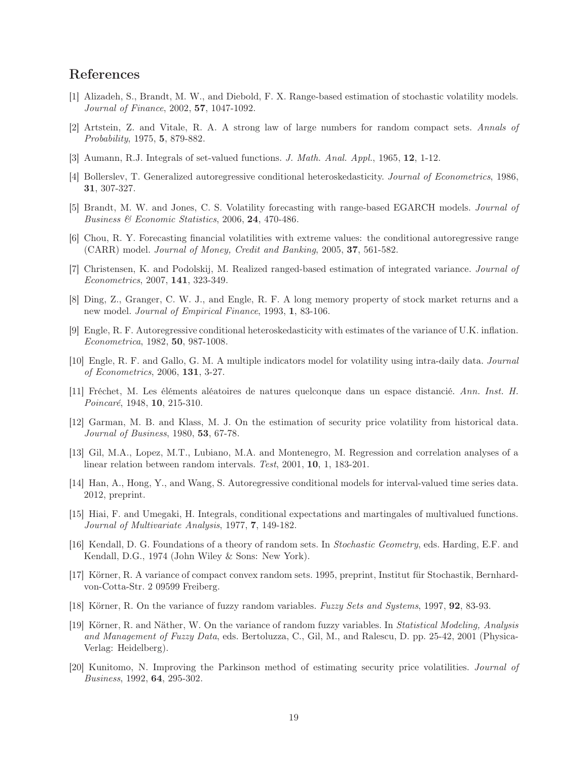# References

- <span id="page-18-4"></span>[1] Alizadeh, S., Brandt, M. W., and Diebold, F. X. Range-based estimation of stochastic volatility models. Journal of Finance, 2002, 57, 1047-1092.
- <span id="page-18-11"></span>[2] Artstein, Z. and Vitale, R. A. A strong law of large numbers for random compact sets. Annals of Probability, 1975, 5, 879-882.
- <span id="page-18-12"></span>[3] Aumann, R.J. Integrals of set-valued functions. J. Math. Anal. Appl., 1965, 12, 1-12.
- <span id="page-18-1"></span>[4] Bollerslev, T. Generalized autoregressive conditional heteroskedasticity. Journal of Econometrics, 1986, 31, 307-327.
- <span id="page-18-7"></span>[5] Brandt, M. W. and Jones, C. S. Volatility forecasting with range-based EGARCH models. Journal of Business & Economic Statistics, 2006, 24, 470-486.
- <span id="page-18-5"></span>[6] Chou, R. Y. Forecasting financial volatilities with extreme values: the conditional autoregressive range (CARR) model. Journal of Money, Credit and Banking, 2005, 37, 561-582.
- <span id="page-18-8"></span>[7] Christensen, K. and Podolskij, M. Realized ranged-based estimation of integrated variance. Journal of Econometrics, 2007, 141, 323-349.
- <span id="page-18-17"></span>[8] Ding, Z., Granger, C. W. J., and Engle, R. F. A long memory property of stock market returns and a new model. *Journal of Empirical Finance*, 1993, 1, 83-106.
- <span id="page-18-0"></span>[9] Engle, R. F. Autoregressive conditional heteroskedasticity with estimates of the variance of U.K. inflation. Econometrica, 1982, 50, 987-1008.
- <span id="page-18-6"></span>[10] Engle, R. F. and Gallo, G. M. A multiple indicators model for volatility using intra-daily data. Journal of Econometrics, 2006, 131, 3-27.
- <span id="page-18-13"></span>[11] Fréchet, M. Les éléments aléatoires de natures quelconque dans un espace distancié. Ann. Inst. H. Poincaré, 1948, 10, 215-310.
- <span id="page-18-2"></span>[12] Garman, M. B. and Klass, M. J. On the estimation of security price volatility from historical data. Journal of Business, 1980, 53, 67-78.
- <span id="page-18-18"></span>[13] Gil, M.A., Lopez, M.T., Lubiano, M.A. and Montenegro, M. Regression and correlation analyses of a linear relation between random intervals. Test, 2001, 10, 1, 183-201.
- <span id="page-18-9"></span>[14] Han, A., Hong, Y., and Wang, S. Autoregressive conditional models for interval-valued time series data. 2012, preprint.
- <span id="page-18-16"></span>[15] Hiai, F. and Umegaki, H. Integrals, conditional expectations and martingales of multivalued functions. Journal of Multivariate Analysis, 1977, 7, 149-182.
- <span id="page-18-10"></span>[16] Kendall, D. G. Foundations of a theory of random sets. In Stochastic Geometry, eds. Harding, E.F. and Kendall, D.G., 1974 (John Wiley & Sons: New York).
- <span id="page-18-14"></span>[17] Körner, R. A variance of compact convex random sets. 1995, preprint, Institut für Stochastik, Bernhardvon-Cotta-Str. 2 09599 Freiberg.
- <span id="page-18-15"></span>[18] Körner, R. On the variance of fuzzy random variables. Fuzzy Sets and Systems, 1997, 92, 83-93.
- <span id="page-18-19"></span>[19] Körner, R. and Näther, W. On the variance of random fuzzy variables. In Statistical Modeling, Analysis and Management of Fuzzy Data, eds. Bertoluzza, C., Gil, M., and Ralescu, D. pp. 25-42, 2001 (Physica-Verlag: Heidelberg).
- <span id="page-18-3"></span>[20] Kunitomo, N. Improving the Parkinson method of estimating security price volatilities. Journal of Business, 1992, 64, 295-302.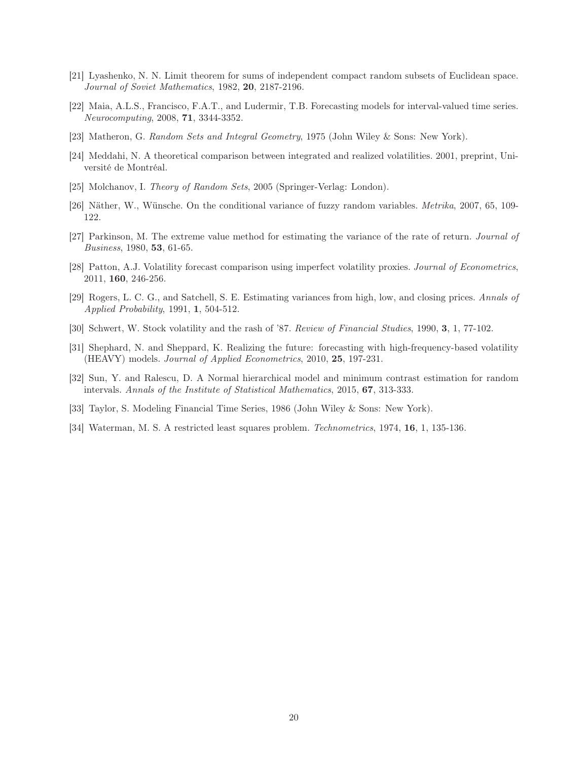- <span id="page-19-6"></span>[21] Lyashenko, N. N. Limit theorem for sums of independent compact random subsets of Euclidean space. Journal of Soviet Mathematics, 1982, 20, 2187-2196.
- <span id="page-19-2"></span>[22] Maia, A.L.S., Francisco, F.A.T., and Ludermir, T.B. Forecasting models for interval-valued time series. Neurocomputing, 2008, 71, 3344-3352.
- <span id="page-19-3"></span>[23] Matheron, G. Random Sets and Integral Geometry, 1975 (John Wiley & Sons: New York).
- <span id="page-19-11"></span>[24] Meddahi, N. A theoretical comparison between integrated and realized volatilities. 2001, preprint, Université de Montréal.
- <span id="page-19-4"></span>[25] Molchanov, I. Theory of Random Sets, 2005 (Springer-Verlag: London).
- <span id="page-19-7"></span>[26] Näther, W., Wünsche. On the conditional variance of fuzzy random variables. Metrika, 2007, 65, 109- 122.
- <span id="page-19-0"></span>[27] Parkinson, M. The extreme value method for estimating the variance of the rate of return. Journal of Business, 1980, 53, 61-65.
- <span id="page-19-12"></span>[28] Patton, A.J. Volatility forecast comparison using imperfect volatility proxies. Journal of Econometrics, 2011, 160, 246-256.
- <span id="page-19-1"></span>[29] Rogers, L. C. G., and Satchell, S. E. Estimating variances from high, low, and closing prices. Annals of Applied Probability, 1991, 1, 504-512.
- <span id="page-19-9"></span>[30] Schwert, W. Stock volatility and the rash of '87. Review of Financial Studies, 1990, 3, 1, 77-102.
- <span id="page-19-10"></span>[31] Shephard, N. and Sheppard, K. Realizing the future: forecasting with high-frequency-based volatility (HEAVY) models. Journal of Applied Econometrics, 2010, 25, 197-231.
- <span id="page-19-5"></span>[32] Sun, Y. and Ralescu, D. A Normal hierarchical model and minimum contrast estimation for random intervals. Annals of the Institute of Statistical Mathematics, 2015, 67, 313-333.
- <span id="page-19-8"></span>[33] Taylor, S. Modeling Financial Time Series, 1986 (John Wiley & Sons: New York).
- <span id="page-19-13"></span>[34] Waterman, M. S. A restricted least squares problem. Technometrics, 1974, 16, 1, 135-136.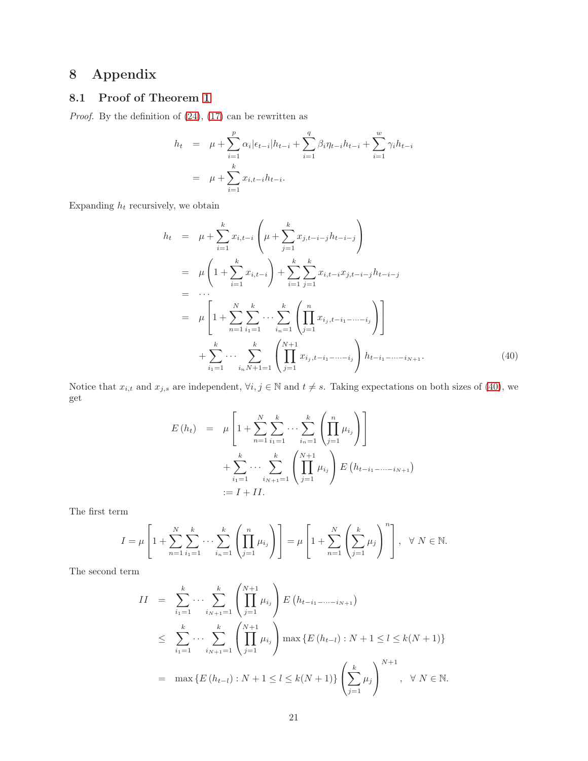# 8 Appendix

# 8.1 Proof of Theorem [1](#page-5-3)

Proof. By the definition of [\(24\)](#page-5-4), [\(17\)](#page-3-2) can be rewritten as

$$
h_t = \mu + \sum_{i=1}^p \alpha_i |\epsilon_{t-i}| h_{t-i} + \sum_{i=1}^q \beta_i \eta_{t-i} h_{t-i} + \sum_{i=1}^w \gamma_i h_{t-i}
$$
  
= 
$$
\mu + \sum_{i=1}^k x_{i,t-i} h_{t-i}.
$$

Expanding  $h_t$  recursively, we obtain

<span id="page-20-0"></span>
$$
h_{t} = \mu + \sum_{i=1}^{k} x_{i,t-i} \left( \mu + \sum_{j=1}^{k} x_{j,t-i-j} h_{t-i-j} \right)
$$
  
\n
$$
= \mu \left( 1 + \sum_{i=1}^{k} x_{i,t-i} \right) + \sum_{i=1}^{k} \sum_{j=1}^{k} x_{i,t-i} x_{j,t-i-j} h_{t-i-j}
$$
  
\n
$$
= \cdots
$$
  
\n
$$
= \mu \left[ 1 + \sum_{n=1}^{N} \sum_{i=1}^{k} \cdots \sum_{i_{n}=1}^{k} \left( \prod_{j=1}^{n} x_{i_{j},t-i_{1}-\cdots-i_{j}} \right) \right]
$$
  
\n
$$
+ \sum_{i_{1}=1}^{k} \cdots \sum_{i_{n}N+1=1}^{k} \left( \prod_{j=1}^{N+1} x_{i_{j},t-i_{1}-\cdots-i_{j}} \right) h_{t-i_{1}-\cdots-i_{N+1}}.
$$
\n(40)

Notice that  $x_{i,t}$  and  $x_{j,s}$  are independent,  $\forall i, j \in \mathbb{N}$  and  $t \neq s$ . Taking expectations on both sizes of [\(40\)](#page-20-0), we get

$$
E(h_t) = \mu \left[ 1 + \sum_{n=1}^{N} \sum_{i_1=1}^{k} \cdots \sum_{i_n=1}^{k} \left( \prod_{j=1}^{n} \mu_{i_j} \right) \right] + \sum_{i_1=1}^{k} \cdots \sum_{i_{N+1}=1}^{k} \left( \prod_{j=1}^{N+1} \mu_{i_j} \right) E(h_{t-i_1-\cdots-i_{N+1}})
$$
  
:=  $I + II$ .

The first term

$$
I = \mu \left[ 1 + \sum_{n=1}^{N} \sum_{i_1=1}^{k} \cdots \sum_{i_n=1}^{k} \left( \prod_{j=1}^{n} \mu_{i_j} \right) \right] = \mu \left[ 1 + \sum_{n=1}^{N} \left( \sum_{j=1}^{k} \mu_{j} \right)^{n} \right], \ \ \forall \ N \in \mathbb{N}.
$$

The second term

$$
II = \sum_{i_1=1}^k \cdots \sum_{i_{N+1}=1}^k \left( \prod_{j=1}^{N+1} \mu_{i_j} \right) E\left(h_{t-i_1-\cdots-i_{N+1}}\right)
$$
  
\n
$$
\leq \sum_{i_1=1}^k \cdots \sum_{i_{N+1}=1}^k \left( \prod_{j=1}^{N+1} \mu_{i_j} \right) \max \left\{ E\left(h_{t-l}\right) : N+1 \leq l \leq k(N+1) \right\}
$$
  
\n
$$
= \max \left\{ E\left(h_{t-l}\right) : N+1 \leq l \leq k(N+1) \right\} \left( \sum_{j=1}^k \mu_j \right)^{N+1}, \quad \forall \ N \in \mathbb{N}.
$$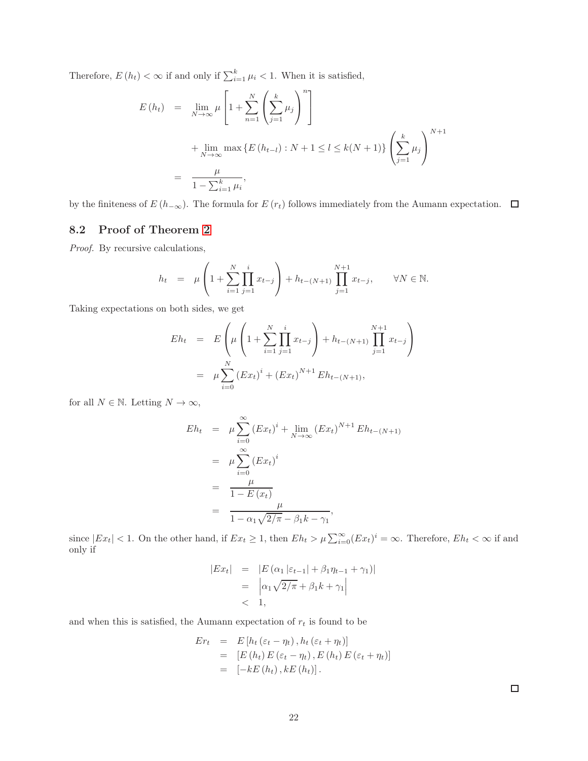Therefore,  $E(h_t) < \infty$  if and only if  $\sum_{i=1}^{k} \mu_i < 1$ . When it is satisfied,

$$
E(h_t) = \lim_{N \to \infty} \mu \left[ 1 + \sum_{n=1}^{N} \left( \sum_{j=1}^{k} \mu_j \right)^n \right]
$$
  
+ 
$$
\lim_{N \to \infty} \max \{ E(h_{t-l}) : N + 1 \le l \le k(N+1) \} \left( \sum_{j=1}^{k} \mu_j \right)^{N+1}
$$
  
= 
$$
\frac{\mu}{1 - \sum_{i=1}^{k} \mu_i},
$$

by the finiteness of  $E(h_{-\infty})$ . The formula for  $E(r_t)$  follows immediately from the Aumann expectation.  $\Box$ 

### 8.2 Proof of Theorem [2](#page-6-0)

Proof. By recursive calculations,

$$
h_t = \mu \left( 1 + \sum_{i=1}^N \prod_{j=1}^i x_{t-j} \right) + h_{t-(N+1)} \prod_{j=1}^{N+1} x_{t-j}, \quad \forall N \in \mathbb{N}.
$$

Taking expectations on both sides, we get

$$
Eh_t = E\left(\mu\left(1 + \sum_{i=1}^N \prod_{j=1}^i x_{t-j}\right) + h_{t-(N+1)} \prod_{j=1}^{N+1} x_{t-j}\right)
$$
  
=  $\mu \sum_{i=0}^N (Ex_t)^i + (Ex_t)^{N+1} Eh_{t-(N+1)},$ 

for all  $N \in \mathbb{N}$ . Letting  $N \to \infty$ ,

$$
Eh_t = \mu \sum_{i=0}^{\infty} (Ex_t)^i + \lim_{N \to \infty} (Ex_t)^{N+1} Eh_{t-(N+1)}
$$
  
=  $\mu \sum_{i=0}^{\infty} (Ex_t)^i$   
=  $\frac{\mu}{1 - E(x_t)}$   
=  $\frac{\mu}{1 - \alpha_1 \sqrt{2/\pi} - \beta_1 k - \gamma_1}$ ,

since  $|Ex_t| < 1$ . On the other hand, if  $Ex_t \ge 1$ , then  $Eh_t > \mu \sum_{i=0}^{\infty} (Ex_t)^i = \infty$ . Therefore,  $Eh_t < \infty$  if and only if

$$
|Ext| = |E(\alpha_1|\varepsilon_{t-1}| + \beta_1 \eta_{t-1} + \gamma_1)|
$$
  
=  $|\alpha_1 \sqrt{2/\pi} + \beta_1 k + \gamma_1|$   
< 1,

and when this is satisfied, the Aumann expectation of  $\boldsymbol{r}_{t}$  is found to be

$$
Er_{t} = E[h_{t}(\varepsilon_{t} - \eta_{t}), h_{t}(\varepsilon_{t} + \eta_{t})]
$$
  
= [E(h\_{t}) E(\varepsilon\_{t} - \eta\_{t}), E(h\_{t}) E(\varepsilon\_{t} + \eta\_{t})]  
= [-kE(h\_{t}), kE(h\_{t})].

 $\Box$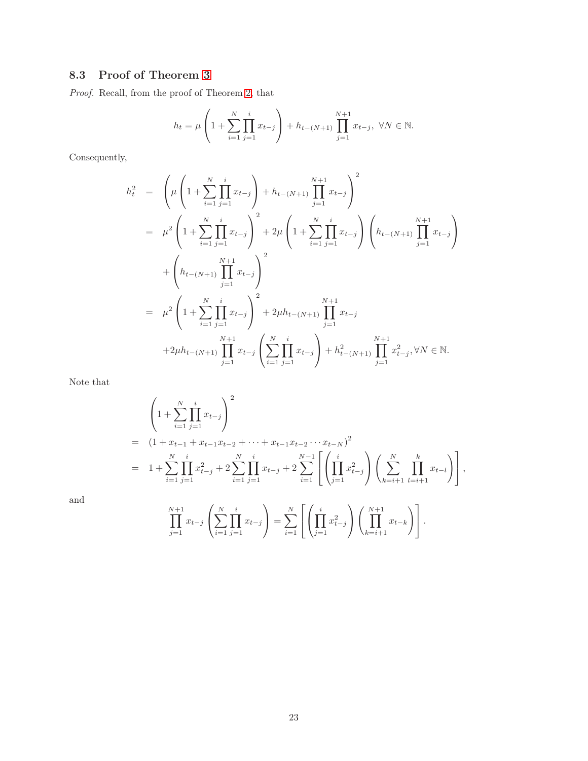# 8.3 Proof of Theorem [3](#page-6-4)

Proof. Recall, from the proof of Theorem [2,](#page-6-0) that

$$
h_t = \mu \left( 1 + \sum_{i=1}^N \prod_{j=1}^i x_{t-j} \right) + h_{t-(N+1)} \prod_{j=1}^{N+1} x_{t-j}, \ \forall N \in \mathbb{N}.
$$

Consequently,

$$
h_t^2 = \left(\mu \left(1 + \sum_{i=1}^N \prod_{j=1}^i x_{t-j}\right) + h_{t-(N+1)} \prod_{j=1}^{N+1} x_{t-j}\right)^2
$$
  
\n
$$
= \mu^2 \left(1 + \sum_{i=1}^N \prod_{j=1}^i x_{t-j}\right)^2 + 2\mu \left(1 + \sum_{i=1}^N \prod_{j=1}^i x_{t-j}\right) \left(h_{t-(N+1)} \prod_{j=1}^{N+1} x_{t-j}\right)
$$
  
\n
$$
+ \left(h_{t-(N+1)} \prod_{j=1}^{N+1} x_{t-j}\right)^2
$$
  
\n
$$
= \mu^2 \left(1 + \sum_{i=1}^N \prod_{j=1}^i x_{t-j}\right)^2 + 2\mu h_{t-(N+1)} \prod_{j=1}^{N+1} x_{t-j}
$$
  
\n
$$
+2\mu h_{t-(N+1)} \prod_{j=1}^{N+1} x_{t-j} \left(\sum_{i=1}^N \prod_{j=1}^i x_{t-j}\right) + h_{t-(N+1)}^2 \prod_{j=1}^{N+1} x_{t-j}^2, \forall N \in \mathbb{N}.
$$

Note that

$$
\begin{split}\n&= \left(1 + \sum_{i=1}^{N} \prod_{j=1}^{i} x_{t-j}\right)^2 \\
&= \left(1 + x_{t-1} + x_{t-1}x_{t-2} + \dots + x_{t-1}x_{t-2}\cdots x_{t-N}\right)^2 \\
&= 1 + \sum_{i=1}^{N} \prod_{j=1}^{i} x_{t-j}^2 + 2 \sum_{i=1}^{N} \prod_{j=1}^{i} x_{t-j} + 2 \sum_{i=1}^{N-1} \left[\left(\prod_{j=1}^{i} x_{t-j}^2\right) \left(\sum_{k=i+1}^{N} \prod_{l=i+1}^{k} x_{t-l}\right)\right],\n\end{split}
$$

and

$$
\prod_{j=1}^{N+1} x_{t-j} \left( \sum_{i=1}^N \prod_{j=1}^i x_{t-j} \right) = \sum_{i=1}^N \left[ \left( \prod_{j=1}^i x_{t-j}^2 \right) \left( \prod_{k=i+1}^{N+1} x_{t-k} \right) \right].
$$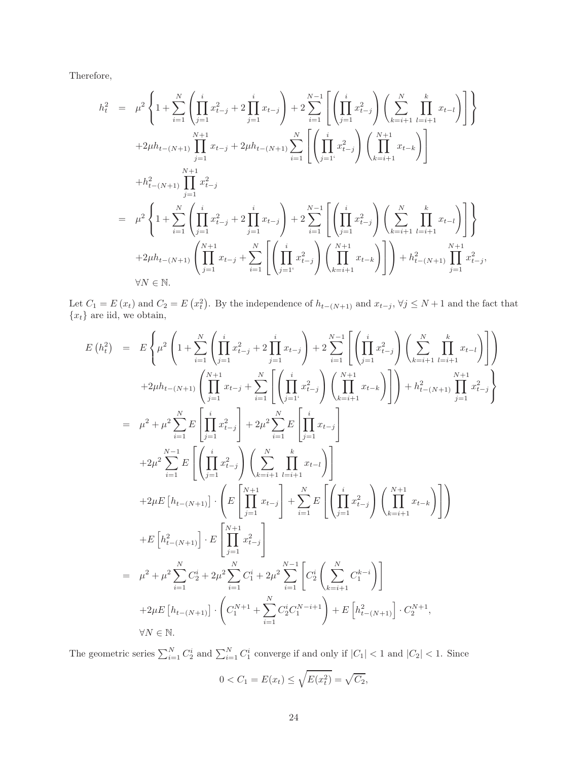Therefore,

$$
h_{t}^{2} = \mu^{2} \left\{ 1 + \sum_{i=1}^{N} \left( \prod_{j=1}^{i} x_{t-j}^{2} + 2 \prod_{j=1}^{i} x_{t-j} \right) + 2 \sum_{i=1}^{N-1} \left[ \left( \prod_{j=1}^{i} x_{t-j}^{2} \right) \left( \sum_{k=i+1}^{N} \prod_{l=i+1}^{k} x_{t-l} \right) \right] \right\}
$$
  
+2
$$
\mu h_{t-(N+1)} \prod_{j=1}^{N+1} x_{t-j} + 2\mu h_{t-(N+1)} \sum_{i=1}^{N} \left[ \left( \prod_{j=1}^{i} x_{t-j}^{2} \right) \left( \prod_{k=i+1}^{N+1} x_{t-k} \right) \right]
$$
  
+
$$
h_{t-(N+1)}^{2} \prod_{j=1}^{N+1} x_{t-j}^{2}
$$
  
= 
$$
\mu^{2} \left\{ 1 + \sum_{i=1}^{N} \left( \prod_{j=1}^{i} x_{t-j}^{2} + 2 \prod_{j=1}^{i} x_{t-j} \right) + 2 \sum_{i=1}^{N-1} \left[ \left( \prod_{j=1}^{i} x_{t-j}^{2} \right) \left( \sum_{k=i+1}^{N} \prod_{l=i+1}^{k} x_{t-l} \right) \right] \right\}
$$
  
+2
$$
\mu h_{t-(N+1)} \left( \prod_{j=1}^{N+1} x_{t-j} + \sum_{i=1}^{N} \left[ \left( \prod_{j=1}^{i} x_{t-j}^{2} \right) \left( \prod_{k=i+1}^{N+1} x_{t-k} \right) \right] \right) + h_{t-(N+1)}^{2} \prod_{j=1}^{N+1} x_{t-j}^{2},
$$
  

$$
\forall N \in \mathbb{N}.
$$

Let  $C_1 = E(x_t)$  and  $C_2 = E(x_t^2)$ . By the independence of  $h_{t-(N+1)}$  and  $x_{t-j}$ ,  $\forall j \leq N+1$  and the fact that  ${x_t}$  are iid, we obtain,

$$
E(h_t^2) = E\left\{\mu^2 \left(1 + \sum_{i=1}^N \left(\prod_{j=1}^i x_{t-j}^2 + 2 \prod_{j=1}^i x_{t-j}\right) + 2 \sum_{i=1}^{N-1} \left[\left(\prod_{j=1}^i x_{t-j}^2\right) \left(\sum_{k=i+1}^N \prod_{l=i+1}^k x_{t-l}\right)\right]\right) + 2\mu h_{t-(N+1)} \left(\prod_{j=1}^{N+1} x_{t-j} + \sum_{i=1}^N \left[\left(\prod_{j=1}^i x_{t-j}^2\right) \left(\prod_{k=i+1}^{N+1} x_{t-k}\right)\right]\right) + h_{t-(N+1)}^2 \prod_{j=1}^N x_{t-j}^2 = \mu^2 + \mu^2 \sum_{i=1}^N E\left[\prod_{j=1}^i x_{t-j}^2\right] + 2\mu^2 \sum_{i=1}^N E\left[\prod_{j=1}^i x_{t-j}\right] + 2\mu^2 \sum_{i=1}^{N-1} E\left[\left(\prod_{j=1}^i x_{t-j}^2\right) \left(\sum_{k=i+1}^N \prod_{l=i+1}^k x_{t-l}\right)\right] + 2\mu E\left[h_{t-(N+1)}\right] \cdot \left(E\left[\prod_{j=1}^N x_{t-j}\right] + \sum_{i=1}^N E\left[\left(\prod_{j=1}^i x_{t-j}^2\right) \left(\prod_{k=i+1}^{N+1} x_{t-k}\right)\right]\right) + E\left[h_{t-(N+1)}^2\right] \cdot E\left[\prod_{j=1}^{N+1} x_{t-j}^2\right] = \mu^2 + \mu^2 \sum_{i=1}^N C_2^i + 2\mu^2 \sum_{i=1}^N C_1^i + 2\mu^2 \sum_{i=1}^{N-1} \left[C_2^i \left(\sum_{k=i+1}^N C_1^{k-i}\right)\right] + 2\mu E\left[h_{t-(N+1)}\right] \cdot \left(C_1^{N+1} + \sum_{i=1}^N C_2^i C_1^{N-i+1}\right) + E\left[h_{t-(N+1)}^2\right] \cdot C_2^{N+1}, \forall N \in \mathbb{N}.
$$

The geometric series  $\sum_{i=1}^{N} C_2^i$  and  $\sum_{i=1}^{N} C_1^i$  converge if and only if  $|C_1| < 1$  and  $|C_2| < 1$ . Since  $0 < C_1 = E(x_t) \leq \sqrt{E(x_t^2)} = \sqrt{C_2},$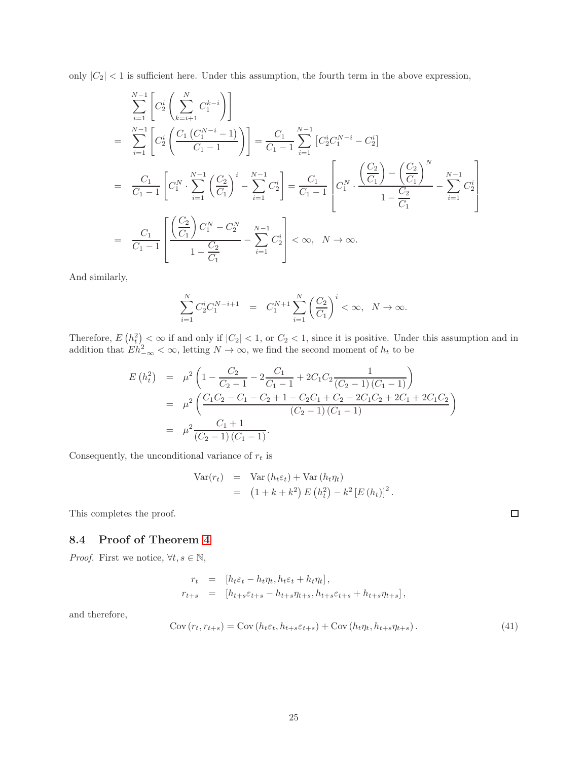only  $|C_2|$  < 1 is sufficient here. Under this assumption, the fourth term in the above expression,

$$
\sum_{i=1}^{N-1} \left[ C_2^i \left( \sum_{k=i+1}^N C_1^{k-i} \right) \right]
$$
\n
$$
= \sum_{i=1}^{N-1} \left[ C_2^i \left( \frac{C_1 \left( C_1^{N-i} - 1 \right)}{C_1 - 1} \right) \right] = \frac{C_1}{C_1 - 1} \sum_{i=1}^{N-1} \left[ C_2^i C_1^{N-i} - C_2^i \right]
$$
\n
$$
= \frac{C_1}{C_1 - 1} \left[ C_1^N \cdot \sum_{i=1}^{N-1} \left( \frac{C_2}{C_1} \right)^i - \sum_{i=1}^{N-1} C_2^i \right] = \frac{C_1}{C_1 - 1} \left[ C_1^N \cdot \frac{\left( \frac{C_2}{C_1} \right) - \left( \frac{C_2}{C_1} \right)^N}{1 - \frac{C_2}{C_1}} - \sum_{i=1}^{N-1} C_2^i \right]
$$
\n
$$
= \frac{C_1}{C_1 - 1} \left[ \frac{\left( \frac{C_2}{C_1} \right) C_1^N - C_2^N}{1 - \frac{C_2}{C_1}} - \sum_{i=1}^{N-1} C_2^i \right] < \infty, \quad N \to \infty.
$$

And similarly,

$$
\sum_{i=1}^{N} C_2^i C_1^{N-i+1} = C_1^{N+1} \sum_{i=1}^{N} \left(\frac{C_2}{C_1}\right)^i < \infty, \ N \to \infty.
$$

Therefore,  $E(h_t^2) < \infty$  if and only if  $|C_2| < 1$ , or  $C_2 < 1$ , since it is positive. Under this assumption and in addition that  $E h_{-\infty}^2 < \infty$ , letting  $N \to \infty$ , we find the second moment of  $h_t$  to be

$$
E(h_t^2) = \mu^2 \left( 1 - \frac{C_2}{C_2 - 1} - 2 \frac{C_1}{C_1 - 1} + 2C_1 C_2 \frac{1}{(C_2 - 1)(C_1 - 1)} \right)
$$
  
= 
$$
\mu^2 \left( \frac{C_1 C_2 - C_1 - C_2 + 1 - C_2 C_1 + C_2 - 2C_1 C_2 + 2C_1 + 2C_1 C_2}{(C_2 - 1)(C_1 - 1)} \right)
$$
  
= 
$$
\mu^2 \frac{C_1 + 1}{(C_2 - 1)(C_1 - 1)}.
$$

Consequently, the unconditional variance of  $r_t$  is

$$
\begin{array}{rcl} \text{Var}(r_t) & = & \text{Var}(h_t \varepsilon_t) + \text{Var}(h_t \eta_t) \\ & = & \left(1 + k + k^2\right) E\left(h_t^2\right) - k^2 \left[E\left(h_t\right)\right]^2. \end{array}
$$

This completes the proof.

### 8.4 Proof of Theorem [4](#page-6-2)

*Proof.* First we notice,  $\forall t, s \in \mathbb{N}$ ,

$$
r_t = [h_t \varepsilon_t - h_t \eta_t, h_t \varepsilon_t + h_t \eta_t],
$$
  
\n
$$
r_{t+s} = [h_{t+s} \varepsilon_{t+s} - h_{t+s} \eta_{t+s}, h_{t+s} \varepsilon_{t+s} + h_{t+s} \eta_{t+s}],
$$

and therefore,

<span id="page-24-0"></span>
$$
Cov(r_t, r_{t+s}) = Cov(h_t \varepsilon_t, h_{t+s} \varepsilon_{t+s}) + Cov(h_t \eta_t, h_{t+s} \eta_{t+s}).
$$
\n(41)

 $\Box$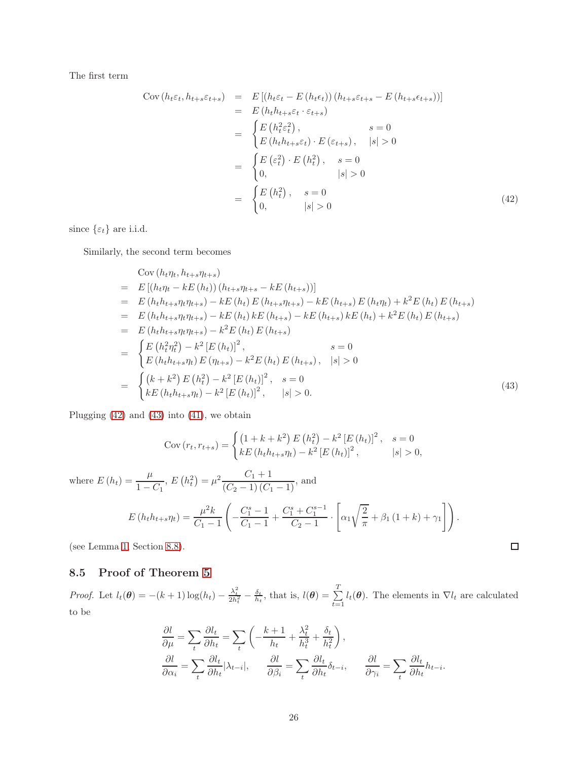The first term

<span id="page-25-0"></span>
$$
Cov(h_t \varepsilon_t, h_{t+s} \varepsilon_{t+s}) = E[(h_t \varepsilon_t - E(h_t \varepsilon_t)) (h_{t+s} \varepsilon_{t+s} - E(h_{t+s} \varepsilon_{t+s}))]
$$
  
\n
$$
= E(h_t h_{t+s} \varepsilon_t \cdot \varepsilon_{t+s})
$$
  
\n
$$
= \begin{cases} E(h_t^2 \varepsilon_t^2), & s = 0 \\ E(h_t h_{t+s} \varepsilon_t) \cdot E(\varepsilon_{t+s}), & |s| > 0 \end{cases}
$$
  
\n
$$
= \begin{cases} E(\varepsilon_t^2) \cdot E(h_t^2), & s = 0 \\ 0, & |s| > 0 \end{cases}
$$
  
\n
$$
= \begin{cases} E(h_t^2), & s = 0 \\ 0, & |s| > 0 \end{cases}
$$
 (42)

since  $\{\varepsilon_t\}$  are i.i.d.

Similarly, the second term becomes

<span id="page-25-1"></span>
$$
\begin{split}\n\text{Cov}(h_{t}\eta_{t}, h_{t+s}\eta_{t+s}) \\
&= E\left[(h_{t}\eta_{t} - kE\left(h_{t}\right))\left(h_{t+s}\eta_{t+s} - kE\left(h_{t+s}\right)\right)\right] \\
&= E\left(h_{t}h_{t+s}\eta_{t}\eta_{t+s}\right) - kE\left(h_{t}\right)E\left(h_{t+s}\eta_{t+s}\right) - kE\left(h_{t+s}\right)E\left(h_{t}\eta_{t}\right) + k^{2}E\left(h_{t}\right)E\left(h_{t+s}\right) \\
&= E\left(h_{t}h_{t+s}\eta_{t}\eta_{t+s}\right) - kE\left(h_{t}\right)kE\left(h_{t+s}\right) - kE\left(h_{t+s}\right)kE\left(h_{t}\right) + k^{2}E\left(h_{t}\right)E\left(h_{t+s}\right) \\
&= E\left(h_{t}h_{t+s}\eta_{t}\eta_{t+s}\right) - k^{2}E\left(h_{t}\right)E\left(h_{t+s}\right) \\
&= 0 \\
&= \begin{cases}\nE\left(h_{t}^{2}\eta_{t}^{2}\right) - k^{2}\left[E\left(h_{t}\right)\right]^{2}, & s = 0 \\
E\left(h_{t}h_{t+s}\eta_{t}\right)E\left(\eta_{t+s}\right) - k^{2}E\left(h_{t}\right)E\left(h_{t+s}\right), & |s| > 0\n\end{cases} \\
&= \begin{cases}\n(k + k^{2})E\left(h_{t}^{2}\right) - k^{2}\left[E\left(h_{t}\right)\right]^{2}, & s = 0 \\
kE\left(h_{t}h_{t+s}\eta_{t}\right) - k^{2}\left[E\left(h_{t}\right)\right]^{2}, & |s| > 0.\n\end{cases}\n\end{split} \tag{43}
$$

Plugging [\(42\)](#page-25-0) and [\(43\)](#page-25-1) into [\(41\)](#page-24-0), we obtain

$$
\text{Cov}(r_t, r_{t+s}) = \begin{cases} \left(1 + k + k^2\right) E\left(h_t^2\right) - k^2 \left[E\left(h_t\right)\right]^2, & s = 0\\ k E\left(h_t h_{t+s} \eta_t\right) - k^2 \left[E\left(h_t\right)\right]^2, & |s| > 0, \end{cases}
$$
\n
$$
\text{where } E\left(h_t\right) = \frac{\mu}{1 - C_1}, E\left(h_t^2\right) = \mu^2 \frac{C_1 + 1}{(C_2 - 1)\left(C_1 - 1\right)}, \text{ and}
$$
\n
$$
E\left(h_t h_{t+s} \eta_t\right) = \frac{\mu^2 k}{C_1 - 1} \left(-\frac{C_1^s - 1}{C_1 - 1} + \frac{C_1^s + C_1^{s-1}}{C_2 - 1} \cdot \left[\alpha_1 \sqrt{\frac{2}{\pi}} + \beta_1 \left(1 + k\right) + \gamma_1\right]\right).
$$

(see Lemma [1,](#page-27-0) Section [8.8\)](#page-27-1).

# 8.5 Proof of Theorem [5](#page-9-2)

Proof. Let  $l_t(\theta) = -(k+1)\log(h_t) - \frac{\lambda_t^2}{2h_t^2} - \frac{\delta_t}{h_t}$ , that is,  $l(\theta) = \sum_{t=1}^T$  $\sum_{t=1}^{n} l_t(\boldsymbol{\theta})$ . The elements in  $\nabla l_t$  are calculated to be

 $\Box$ 

$$
\frac{\partial l}{\partial \mu} = \sum_{t} \frac{\partial l_{t}}{\partial h_{t}} = \sum_{t} \left( -\frac{k+1}{h_{t}} + \frac{\lambda_{t}^{2}}{h_{t}^{3}} + \frac{\delta_{t}}{h_{t}^{2}} \right),
$$

$$
\frac{\partial l}{\partial \alpha_{i}} = \sum_{t} \frac{\partial l_{t}}{\partial h_{t}} |\lambda_{t-i}|, \qquad \frac{\partial l}{\partial \beta_{i}} = \sum_{t} \frac{\partial l_{t}}{\partial h_{t}} \delta_{t-i}, \qquad \frac{\partial l}{\partial \gamma_{i}} = \sum_{t} \frac{\partial l_{t}}{\partial h_{t}} h_{t-i}.
$$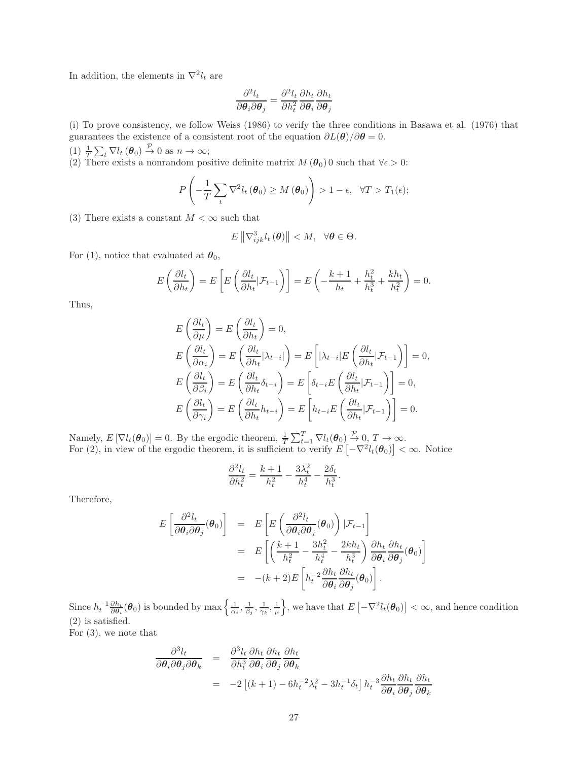In addition, the elements in  $\nabla^2 l_t$  are

$$
\frac{\partial^2 l_t}{\partial \theta_i \partial \theta_j} = \frac{\partial^2 l_t}{\partial h_t^2} \frac{\partial h_t}{\partial \theta_i} \frac{\partial h_t}{\partial \theta_j}
$$

(i) To prove consistency, we follow Weiss (1986) to verify the three conditions in Basawa et al. (1976) that guarantees the existence of a consistent root of the equation  $\partial L(\theta)/\partial \theta = 0$ .

(1)  $\frac{1}{T} \sum_t \nabla l_t (\boldsymbol{\theta}_0) \stackrel{\mathcal{P}}{\rightarrow} 0$  as  $n \rightarrow \infty$ ;

(2) There exists a nonrandom positive definite matrix  $M(\theta_0)$  o such that  $\forall \epsilon > 0$ :

$$
P\left(-\frac{1}{T}\sum_{t}\nabla^2 l_t\left(\boldsymbol{\theta}_0\right)\geq M\left(\boldsymbol{\theta}_0\right)\right)>1-\epsilon,\ \ \forall T>T_1(\epsilon);
$$

(3) There exists a constant  $M < \infty$  such that

$$
E\left\|\nabla_{ijk}^{3}l_{t}\left(\boldsymbol{\theta}\right)\right\|
$$

For (1), notice that evaluated at  $\theta_0$ ,

$$
E\left(\frac{\partial l_t}{\partial h_t}\right) = E\left[E\left(\frac{\partial l_t}{\partial h_t}|\mathcal{F}_{t-1}\right)\right] = E\left(-\frac{k+1}{h_t} + \frac{h_t^2}{h_t^3} + \frac{kh_t}{h_t^2}\right) = 0.
$$

Thus,

$$
E\left(\frac{\partial l_t}{\partial \mu}\right) = E\left(\frac{\partial l_t}{\partial h_t}\right) = 0,
$$
  
\n
$$
E\left(\frac{\partial l_t}{\partial \alpha_i}\right) = E\left(\frac{\partial l_t}{\partial h_t} | \lambda_{t-i}|\right) = E\left[|\lambda_{t-i}| E\left(\frac{\partial l_t}{\partial h_t} | \mathcal{F}_{t-1}\right)\right] = 0,
$$
  
\n
$$
E\left(\frac{\partial l_t}{\partial \beta_i}\right) = E\left(\frac{\partial l_t}{\partial h_t} \delta_{t-i}\right) = E\left[\delta_{t-i} E\left(\frac{\partial l_t}{\partial h_t} | \mathcal{F}_{t-1}\right)\right] = 0,
$$
  
\n
$$
E\left(\frac{\partial l_t}{\partial \gamma_i}\right) = E\left(\frac{\partial l_t}{\partial h_t} h_{t-i}\right) = E\left[h_{t-i} E\left(\frac{\partial l_t}{\partial h_t} | \mathcal{F}_{t-1}\right)\right] = 0.
$$

Namely,  $E[\nabla l_t(\theta_0)] = 0$ . By the ergodic theorem,  $\frac{1}{T} \sum_{t=1}^T \nabla l_t(\theta_0) \stackrel{\mathcal{P}}{\rightarrow} 0, T \rightarrow \infty$ . For (2), in view of the ergodic theorem, it is sufficient to verify  $E\left[-\nabla^2 l_t(\theta_0)\right] < \infty$ . Notice

$$
\frac{\partial^2 l_t}{\partial h_t^2} = \frac{k+1}{h_t^2} - \frac{3\lambda_t^2}{h_t^4} - \frac{2\delta_t}{h_t^3}.
$$

Therefore,

$$
E\left[\frac{\partial^2 l_t}{\partial \theta_i \partial \theta_j}(\theta_0)\right] = E\left[E\left(\frac{\partial^2 l_t}{\partial \theta_i \partial \theta_j}(\theta_0)\right) | \mathcal{F}_{t-1}\right]
$$
  
\n
$$
= E\left[\left(\frac{k+1}{h_t^2} - \frac{3h_t^2}{h_t^4} - \frac{2kh_t}{h_t^3}\right) \frac{\partial h_t}{\partial \theta_i} \frac{\partial h_t}{\partial \theta_j}(\theta_0)\right]
$$
  
\n
$$
= -(k+2)E\left[h_t^{-2} \frac{\partial h_t}{\partial \theta_i} \frac{\partial h_t}{\partial \theta_j}(\theta_0)\right].
$$

Since  $h_t^{-1} \frac{\partial h_t}{\partial \theta_i}(\theta_0)$  is bounded by max  $\left\{\frac{1}{\alpha_i}, \frac{1}{\beta_j}, \frac{1}{\gamma_k}, \frac{1}{\mu}\right\}$ , we have that  $E\left[-\nabla^2 l_t(\theta_0)\right] < \infty$ , and hence condition (2) is satisfied.

For (3), we note that

$$
\frac{\partial^3 l_t}{\partial \theta_i \partial \theta_j \partial \theta_k} = \frac{\partial^3 l_t}{\partial h_i^3} \frac{\partial h_t}{\partial \theta_i} \frac{\partial h_t}{\partial \theta_j} \n= -2 \left[ (k+1) - 6h_t^{-2} \lambda_t^2 - 3h_t^{-1} \delta_t \right] h_t^{-3} \frac{\partial h_t}{\partial \theta_i} \frac{\partial h_t}{\partial \theta_j} \frac{\partial h_t}{\partial \theta_k} \n= -2 \left[ (k+1) - 6h_t^{-2} \lambda_t^2 - 3h_t^{-1} \delta_t \right] h_t^{-3} \frac{\partial h_t}{\partial \theta_i} \frac{\partial h_t}{\partial \theta_j} \frac{\partial h_t}{\partial \theta_k}
$$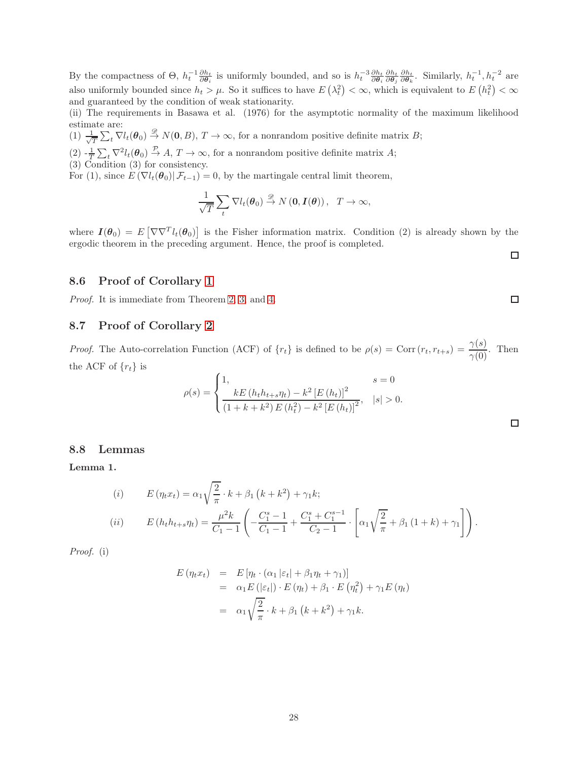By the compactness of  $\Theta$ ,  $h_t^{-1} \frac{\partial h_t}{\partial \theta_i}$  is uniformly bounded, and so is  $h_t^{-3} \frac{\partial h_t}{\partial \theta_i} \frac{\partial h_t}{\partial \theta_j} \frac{\partial h_t}{\partial \theta_k}$ . Similarly,  $h_t^{-1}$ ,  $h_t^{-2}$  are also uniformly bounded since  $h_t > \mu$ . So it suffices to have  $E(\lambda_t^2) < \infty$ , which is equivalent to  $E(h_t^2) < \infty$ and guaranteed by the condition of weak stationarity.

(ii) The requirements in Basawa et al. (1976) for the asymptotic normality of the maximum likelihood estimate are:

 $(1) \frac{1}{\sqrt{2}}$  $\frac{1}{T} \sum_{t} \nabla l_t(\boldsymbol{\theta}_0) \stackrel{\mathscr{D}}{\rightarrow} N(\mathbf{0}, B), T \rightarrow \infty$ , for a nonrandom positive definite matrix B;

 $(2)$   $-\frac{1}{T}\sum_{t} \nabla^2 l_t(\theta_0) \stackrel{\mathcal{P}}{\rightarrow} A, T \rightarrow \infty$ , for a nonrandom positive definite matrix A;

(3) Condition (3) for consistency.

For (1), since  $E(\nabla l_t(\theta_0) | \mathcal{F}_{t-1}) = 0$ , by the martingale central limit theorem,

$$
\frac{1}{\sqrt{T}}\sum_{t}\nabla l_t(\boldsymbol{\theta}_0) \stackrel{\mathscr{D}}{\rightarrow} N(\mathbf{0},\boldsymbol{I}(\boldsymbol{\theta})),\ \ T\rightarrow\infty,
$$

where  $I(\theta_0) = E\left[\nabla \nabla^T l_t(\theta_0)\right]$  is the Fisher information matrix. Condition (2) is already shown by the ergodic theorem in the preceding argument. Hence, the proof is completed.

### 8.6 Proof of Corollary [1](#page-6-3)

Proof. It is immediate from Theorem [2,](#page-6-0) [3,](#page-6-4) and [4.](#page-6-2)

### 8.7 Proof of Corollary [2](#page-7-2)

*Proof.* The Auto-correlation Function (ACF) of  $\{r_t\}$  is defined to be  $\rho(s) = \text{Corr}(r_t, r_{t+s}) = \frac{\gamma(s)}{\gamma(0)}$ . Then the ACF of  ${r_t}$  is

$$
\rho(s) = \begin{cases} 1, & s = 0 \\ \frac{kE(h_t h_{t+s} \eta_t) - k^2 [E(h_t)]^2}{(1 + k + k^2) E(h_t^2) - k^2 [E(h_t)]^2}, & |s| > 0. \end{cases}
$$

#### <span id="page-27-1"></span>8.8 Lemmas

<span id="page-27-0"></span>Lemma 1.

(i) 
$$
E(\eta_t x_t) = \alpha_1 \sqrt{\frac{2}{\pi}} \cdot k + \beta_1 (k + k^2) + \gamma_1 k;
$$
  
\n(ii) 
$$
E(h_t h_{t+s} \eta_t) = \frac{\mu^2 k}{C_1 - 1} \left( -\frac{C_1^s - 1}{C_1 - 1} + \frac{C_1^s + C_1^{s-1}}{C_2 - 1} \cdot \left[ \alpha_1 \sqrt{\frac{2}{\pi}} + \beta_1 (1 + k) + \gamma_1 \right] \right).
$$

Proof. (i)

$$
E(\eta_t x_t) = E[\eta_t \cdot (\alpha_1 |\varepsilon_t| + \beta_1 \eta_t + \gamma_1)]
$$
  
=  $\alpha_1 E(|\varepsilon_t|) \cdot E(\eta_t) + \beta_1 \cdot E(\eta_t^2) + \gamma_1 E(\eta_t)$   
=  $\alpha_1 \sqrt{\frac{2}{\pi}} \cdot k + \beta_1 (k + k^2) + \gamma_1 k.$ 

 $\Box$ 

 $\Box$ 

 $\Box$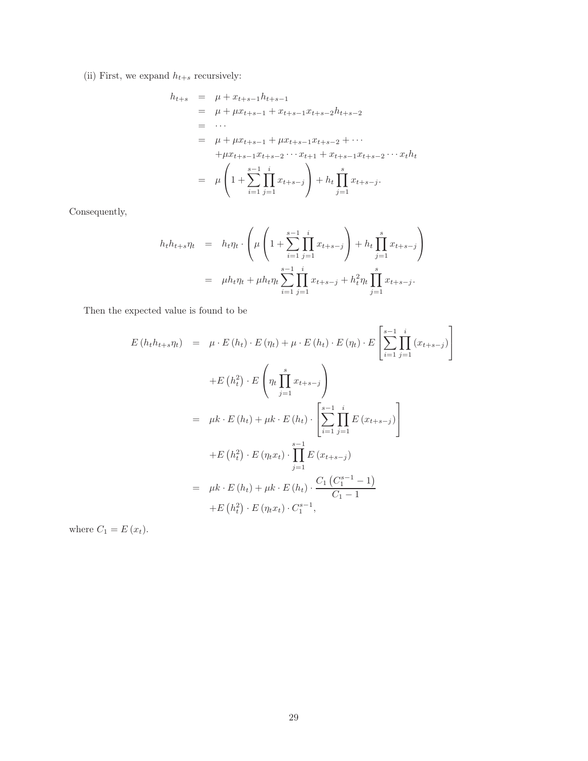(ii) First, we expand  $h_{t+s}$  recursively:

$$
h_{t+s} = \mu + x_{t+s-1}h_{t+s-1}
$$
  
\n
$$
= \mu + \mu x_{t+s-1} + x_{t+s-1}x_{t+s-2}h_{t+s-2}
$$
  
\n
$$
= \cdots
$$
  
\n
$$
= \mu + \mu x_{t+s-1} + \mu x_{t+s-1}x_{t+s-2} + \cdots
$$
  
\n
$$
+ \mu x_{t+s-1}x_{t+s-2} \cdots x_{t+1} + x_{t+s-1}x_{t+s-2} \cdots x_{t}h_{t}
$$
  
\n
$$
= \mu \left(1 + \sum_{i=1}^{s-1} \prod_{j=1}^{i} x_{t+s-j}\right) + h_{t} \prod_{j=1}^{s} x_{t+s-j}.
$$

Consequently,

$$
h_t h_{t+s} \eta_t = h_t \eta_t \cdot \left( \mu \left( 1 + \sum_{i=1}^{s-1} \prod_{j=1}^i x_{t+s-j} \right) + h_t \prod_{j=1}^s x_{t+s-j} \right)
$$
  
=  $\mu h_t \eta_t + \mu h_t \eta_t \sum_{i=1}^{s-1} \prod_{j=1}^i x_{t+s-j} + h_t^2 \eta_t \prod_{j=1}^s x_{t+s-j}.$ 

Then the expected value is found to be

$$
E(h_t h_{t+s} \eta_t) = \mu \cdot E(h_t) \cdot E(\eta_t) + \mu \cdot E(h_t) \cdot E(\eta_t) \cdot E\left[\sum_{i=1}^{s-1} \prod_{j=1}^i (x_{t+s-j})\right]
$$
  
+ 
$$
E(h_t^2) \cdot E\left(\eta_t \prod_{j=1}^s x_{t+s-j}\right)
$$
  
= 
$$
\mu k \cdot E(h_t) + \mu k \cdot E(h_t) \cdot \left[\sum_{i=1}^{s-1} \prod_{j=1}^i E(x_{t+s-j})\right]
$$
  
+ 
$$
E(h_t^2) \cdot E(\eta_t x_t) \cdot \prod_{j=1}^{s-1} E(x_{t+s-j})
$$
  
= 
$$
\mu k \cdot E(h_t) + \mu k \cdot E(h_t) \cdot \frac{C_1 (C_1^{s-1} - 1)}{C_1 - 1}
$$
  
+ 
$$
E(h_t^2) \cdot E(\eta_t x_t) \cdot C_1^{s-1},
$$

where  $C_1 = E(x_t)$ .